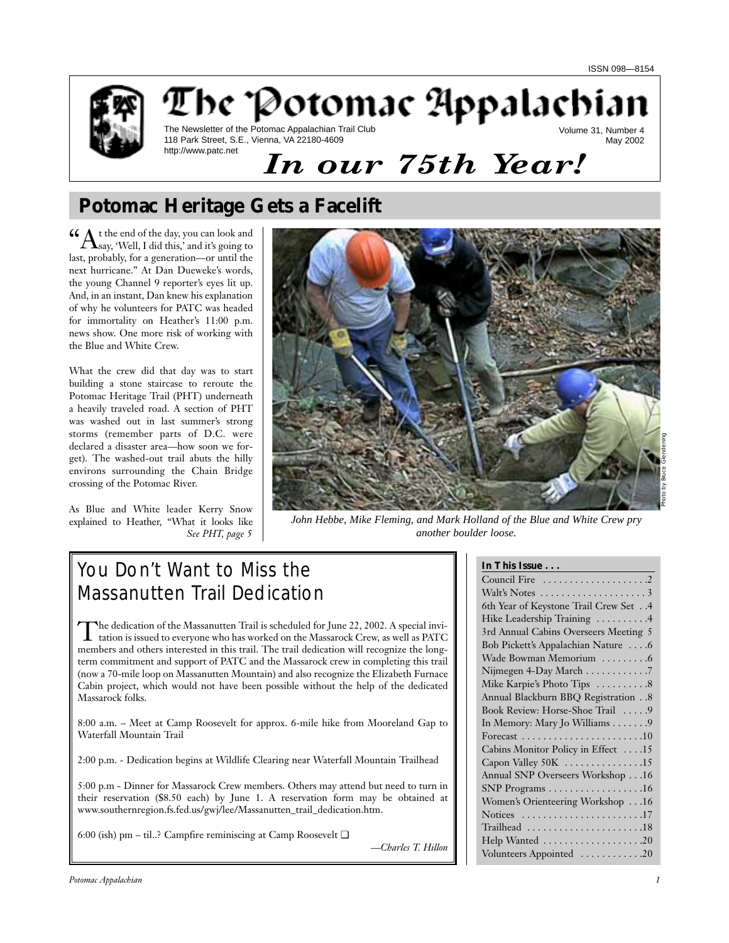

## The Potomac Appalachian The Newsletter of the Potomac Appalachian Trail Club Volume 31, Number 4

118 Park Street, S.E., Vienna, VA 22180-4609 http://www.patc.net

May 2002

# *In our 75th Year!*

## **Potomac Heritage Gets a Facelift**

 $\mathcal{C}\text{A}$ t the end of the day, you can look and  $\Lambda$ say, 'Well, I did this,' and it's going to last, probably, for a generation—or until the next hurricane." At Dan Dueweke's words, the young Channel 9 reporter's eyes lit up. And, in an instant, Dan knew his explanation of why he volunteers for PATC was headed for immortality on Heather's 11:00 p.m. news show. One more risk of working with the Blue and White Crew.

What the crew did that day was to start building a stone staircase to reroute the Potomac Heritage Trail (PHT) underneath a heavily traveled road. A section of PHT was washed out in last summer's strong storms (remember parts of D.C. were declared a disaster area—how soon we forget). The washed-out trail abuts the hilly environs surrounding the Chain Bridge crossing of the Potomac River.

As Blue and White leader Kerry Snow explained to Heather, "What it looks like *See PHT, page 5*



*John Hebbe, Mike Fleming, and Mark Holland of the Blue and White Crew pry another boulder loose.*

# You Don't Want to Miss the Massanutten Trail Dedication

The dedication of the Massanutten Trail is scheduled for June 22, 2002. A special invitation is issued to everyone who has worked on the Massarock Crew, as well as PATC members and others interested in this trail. The trail dedication will recognize the longterm commitment and support of PATC and the Massarock crew in completing this trail (now a 70-mile loop on Massanutten Mountain) and also recognize the Elizabeth Furnace Cabin project, which would not have been possible without the help of the dedicated Massarock folks.

8:00 a.m. – Meet at Camp Roosevelt for approx. 6-mile hike from Mooreland Gap to Waterfall Mountain Trail

2:00 p.m. - Dedication begins at Wildlife Clearing near Waterfall Mountain Trailhead

5:00 p.m - Dinner for Massarock Crew members. Others may attend but need to turn in their reservation (\$8.50 each) by June 1. A reservation form may be obtained at www.southernregion.fs.fed.us/gwj/lee/Massanutten\_trail\_dedication.htm.

6:00 (ish) pm – til..? Campfire reminiscing at Camp Roosevelt ❏

*—Charles T. Hillon*

## **In This Issue . . .**

| 6th Year of Keystone Trail Crew Set 4                          |  |  |  |
|----------------------------------------------------------------|--|--|--|
| Hike Leadership Training 4                                     |  |  |  |
| 3rd Annual Cabins Overseers Meeting 5                          |  |  |  |
| Bob Pickett's Appalachian Nature 6                             |  |  |  |
| Wade Bowman Memorium 6                                         |  |  |  |
| Nijmegen 4-Day March $\dots \dots \dots$ .                     |  |  |  |
| Mike Karpie's Photo Tips 8                                     |  |  |  |
| Annual Blackburn BBQ Registration 8                            |  |  |  |
| Book Review: Horse-Shoe Trail 9                                |  |  |  |
|                                                                |  |  |  |
| In Memory: Mary Jo Williams 9                                  |  |  |  |
| Forecast $\ldots \ldots \ldots \ldots \ldots \ldots \ldots 10$ |  |  |  |
| Cabins Monitor Policy in Effect 15                             |  |  |  |
| Capon Valley 50K 15                                            |  |  |  |
| Annual SNP Overseers Workshop 16                               |  |  |  |
| SNP Programs 16                                                |  |  |  |
| Women's Orienteering Workshop 16                               |  |  |  |
| Notices $\ldots \ldots \ldots \ldots \ldots \ldots \ldots 17$  |  |  |  |
| Trailhead 18                                                   |  |  |  |
| Help Wanted 20                                                 |  |  |  |
| Volunteers Appointed 20                                        |  |  |  |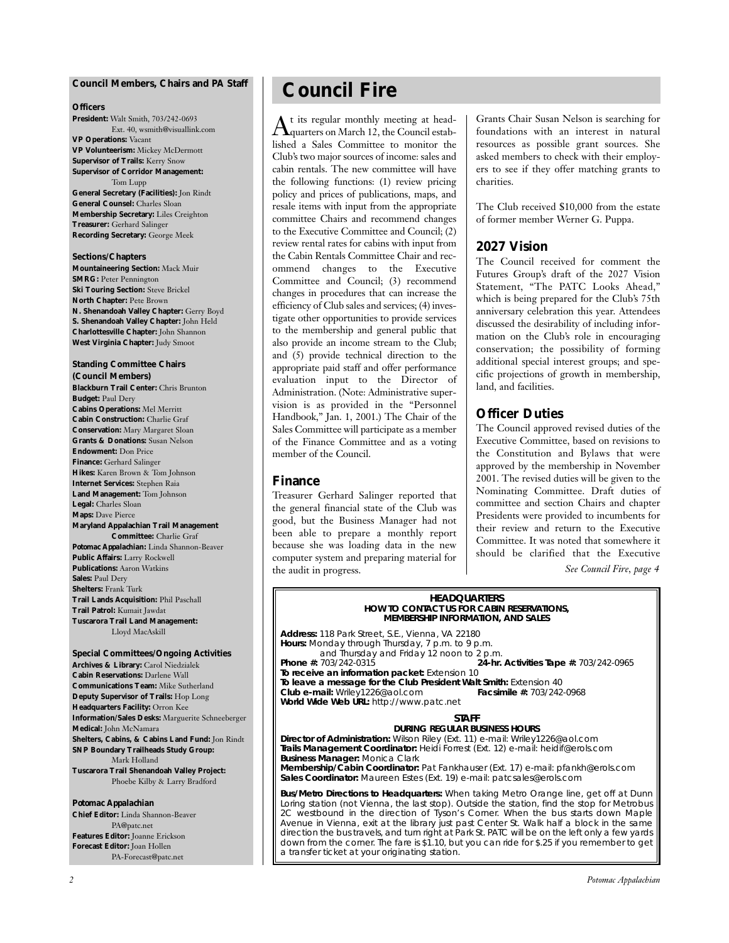#### **Council Members, Chairs and** *PA* **Staff**

#### **Officers**

**President:** Walt Smith, 703/242-0693 Ext. 40, wsmith@visuallink.com **VP Operations:** Vacant **VP Volunteerism:** Mickey McDermott **Supervisor of Trails:** Kerry Snow **Supervisor of Corridor Management:** Tom Lupp **General Secretary (Facilities):** Jon Rindt **General Counsel:** Charles Sloan **Membership Secretary:** Liles Creighton **Treasurer:** Gerhard Salinger **Recording Secretary:** George Meek

#### **Sections/Chapters**

**Mountaineering Section:** Mack Muir **SMRG: Peter Pennington Ski Touring Section:** Steve Brickel **North Chapter:** Pete Brown **N. Shenandoah Valley Chapter:** Gerry Boyd **S. Shenandoah Valley Chapter:** John Held **Charlottesville Chapter:** John Shannon **West Virginia Chapter:** Judy Smoot

#### **Standing Committee Chairs (Council Members) Blackburn Trail Center:** Chris Brunton **Budget:** Paul Dery **Cabins Operations:** Mel Merritt **Cabin Construction:** Charlie Graf **Conservation:** Mary Margaret Sloan **Grants & Donations:** Susan Nelson **Endowment:** Don Price **Finance:** Gerhard Salinger **Hikes:** Karen Brown & Tom Johnson **Internet Services:** Stephen Raia **Land Management:** Tom Johnson **Legal:** Charles Sloan **Maps:** Dave Pierce **Maryland Appalachian Trail Management Committee:** Charlie Graf *Potomac Appalachian:* Linda Shannon-Beaver **Public Affairs:** Larry Rockwell **Publications:** Aaron Watkins **Sales:** Paul Dery **Shelters:** Frank Turk **Trail Lands Acquisition:** Phil Paschall **Trail Patrol:** Kumait Jawdat **Tuscarora Trail Land Management:**

Lloyd MacAskill

#### **Special Committees/Ongoing Activities Archives & Library:** Carol Niedzialek **Cabin Reservations:** Darlene Wall **Communications Team:** Mike Sutherland **Deputy Supervisor of Trails:** Hop Long **Headquarters Facility:** Orron Kee **Information/Sales Desks:** Marguerite Schneeberger **Medical:** John McNamara **Shelters, Cabins, & Cabins Land Fund:** Jon Rindt **SNP Boundary Trailheads Study Group:** Mark Holland **Tuscarora Trail Shenandoah Valley Project:** Phoebe Kilby & Larry Bradford

#### *Potomac Appalachian*

**Chief Editor:** Linda Shannon-Beaver PA@patc.net **Features Editor:** Joanne Erickson **Forecast Editor:** Joan Hollen PA-Forecast@patc.net

## **Council Fire**

 $\rm A$ t its regular monthly meeting at head-<br>quarters on March 12, the Council established a Sales Committee to monitor the Club's two major sources of income: sales and cabin rentals. The new committee will have the following functions: (1) review pricing policy and prices of publications, maps, and resale items with input from the appropriate committee Chairs and recommend changes to the Executive Committee and Council; (2) review rental rates for cabins with input from the Cabin Rentals Committee Chair and recommend changes to the Executive Committee and Council; (3) recommend changes in procedures that can increase the efficiency of Club sales and services; (4) investigate other opportunities to provide services to the membership and general public that also provide an income stream to the Club; and (5) provide technical direction to the appropriate paid staff and offer performance evaluation input to the Director of Administration. (Note: Administrative supervision is as provided in the "Personnel Handbook," Jan. 1, 2001.) The Chair of the Sales Committee will participate as a member of the Finance Committee and as a voting member of the Council.

### **Finance**

Treasurer Gerhard Salinger reported that the general financial state of the Club was good, but the Business Manager had not been able to prepare a monthly report because she was loading data in the new computer system and preparing material for the audit in progress.

Grants Chair Susan Nelson is searching for foundations with an interest in natural resources as possible grant sources. She asked members to check with their employers to see if they offer matching grants to charities.

The Club received \$10,000 from the estate of former member Werner G. Puppa.

### **2027 Vision**

The Council received for comment the Futures Group's draft of the 2027 Vision Statement, "The PATC Looks Ahead," which is being prepared for the Club's 75th anniversary celebration this year. Attendees discussed the desirability of including information on the Club's role in encouraging conservation; the possibility of forming additional special interest groups; and specific projections of growth in membership, land, and facilities.

## **Officer Duties**

The Council approved revised duties of the Executive Committee, based on revisions to the Constitution and Bylaws that were approved by the membership in November 2001. The revised duties will be given to the Nominating Committee. Draft duties of committee and section Chairs and chapter Presidents were provided to incumbents for their review and return to the Executive Committee. It was noted that somewhere it should be clarified that the Executive

*See Council Fire, page 4*

#### **HEADQUARTERS HOW TO CONTACT US FOR CABIN RESERVATIONS, MEMBERSHIP INFORMATION, AND SALES**

**Address:** 118 Park Street, S.E., Vienna, VA 22180 **Hours:** Monday through Thursday, 7 p.m. to 9 p.m. and Thursday and Friday 12 noon to 2 p.m.<br>**24-hr.** 203/242-0315 **Phone #:** 703/242-0315 **24-hr. Activities Tape #:** 703/242-0965 **To receive an information packet:** Extension 10 **To leave a message for the Club President Walt Smith:** Extension 40<br>**Club e-mail:** Wriley1226@aol.com **Facsimile #: 703/242-0968 Club e-mail:** Wriley1226@aol.com **Facsimile #:** 703/242-0968 **World Wide Web URL:** http://www.patc.net

#### **STAFF**

**DURING REGULAR BUSINESS HOURS Director of Administration:** Wilson Riley (Ext. 11) e-mail: Wriley1226@aol.com **Trails Management Coordinator:** Heidi Forrest (Ext. 12) e-mail: heidif@erols.com **Business Manager:** Monica Clark **Membership/Cabin Coordinator:** Pat Fankhauser (Ext. 17) e-mail: pfankh@erols.com **Sales Coordinator:** Maureen Estes (Ext. 19) e-mail: patcsales@erols.com

**Bus/Metro Directions to Headquarters:** When taking Metro Orange line, get off at Dunn Loring station (not Vienna, the last stop). Outside the station, find the stop for Metrobus 2C westbound in the direction of Tyson's Corner. When the bus starts down Maple Avenue in Vienna, exit at the library just past Center St. Walk half a block in the same direction the bus travels, and turn right at Park St. PATC will be on the left only a few yards down from the corner. The fare is \$1.10, but you can ride for \$.25 if you remember to get a transfer ticket at your originating station.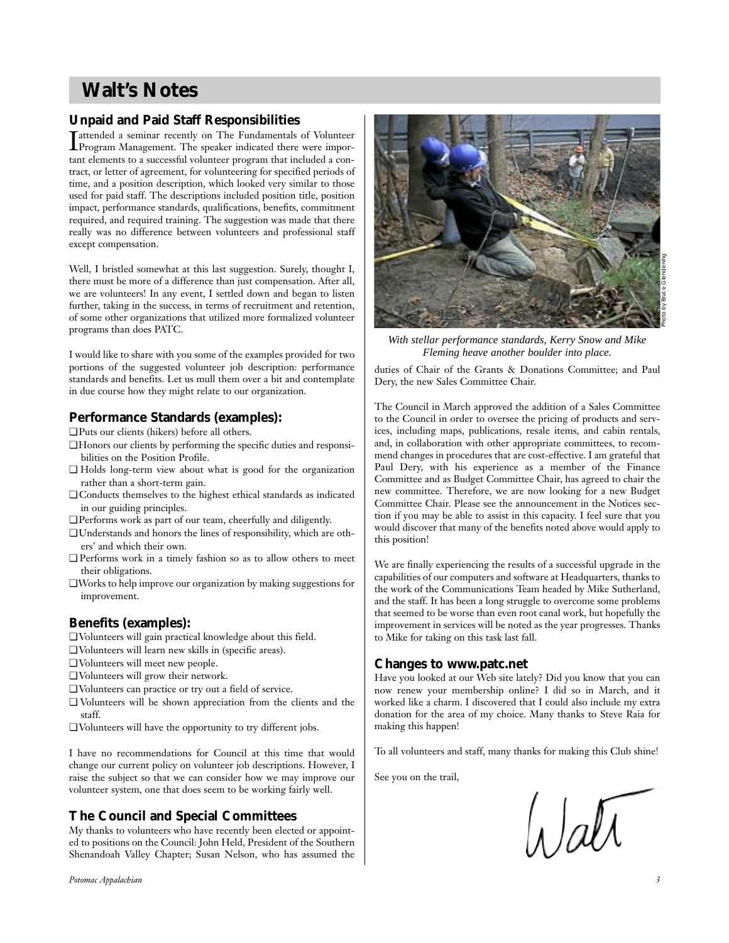## **Walt's Notes**

## **Unpaid and Paid Staff Responsibilities**

Insteaded a seminar recently on The Fundamentals of Volunteer<br>Program Management. The speaker indicated there were impor-Program Management. The speaker indicated there were important elements to a successful volunteer program that included a contract, or letter of agreement, for volunteering for specified periods of time, and a position description, which looked very similar to those used for paid staff. The descriptions included position title, position impact, performance standards, qualifications, benefits, commitment required, and required training. The suggestion was made that there really was no difference between volunteers and professional staff except compensation.

Well, I bristled somewhat at this last suggestion. Surely, thought I, there must be more of a difference than just compensation. After all, we are volunteers! In any event, I settled down and began to listen further, taking in the success, in terms of recruitment and retention, of some other organizations that utilized more formalized volunteer programs than does PATC.

I would like to share with you some of the examples provided for two portions of the suggested volunteer job description: performance standards and benefits. Let us mull them over a bit and contemplate in due course how they might relate to our organization.

## **Performance Standards (examples):**

- ❏ Puts our clients (hikers) before all others.
- ❏ Honors our clients by performing the specific duties and responsibilities on the Position Profile.
- ❏ Holds long-term view about what is good for the organization rather than a short-term gain.
- ❏ Conducts themselves to the highest ethical standards as indicated in our guiding principles.
- ❏ Performs work as part of our team, cheerfully and diligently.
- ❏ Understands and honors the lines of responsibility, which are others' and which their own.
- ❏ Performs work in a timely fashion so as to allow others to meet their obligations.
- ❏Works to help improve our organization by making suggestions for improvement.

## **Benefits (examples):**

- ❏ Volunteers will gain practical knowledge about this field.
- ❏ Volunteers will learn new skills in (specific areas).
- ❏ Volunteers will meet new people.
- ❏ Volunteers will grow their network.
- ❏ Volunteers can practice or try out a field of service.
- ❏ Volunteers will be shown appreciation from the clients and the staff.
- ❏ Volunteers will have the opportunity to try different jobs.

I have no recommendations for Council at this time that would change our current policy on volunteer job descriptions. However, I raise the subject so that we can consider how we may improve our volunteer system, one that does seem to be working fairly well.

## **The Council and Special Committees**

My thanks to volunteers who have recently been elected or appointed to positions on the Council: John Held, President of the Southern Shenandoah Valley Chapter; Susan Nelson, who has assumed the





*With stellar performance standards, Kerry Snow and Mike Fleming heave another boulder into place.*

duties of Chair of the Grants & Donations Committee; and Paul Dery, the new Sales Committee Chair.

The Council in March approved the addition of a Sales Committee to the Council in order to oversee the pricing of products and services, including maps, publications, resale items, and cabin rentals, and, in collaboration with other appropriate committees, to recommend changes in procedures that are cost-effective. I am grateful that Paul Dery, with his experience as a member of the Finance Committee and as Budget Committee Chair, has agreed to chair the new committee. Therefore, we are now looking for a new Budget Committee Chair. Please see the announcement in the Notices section if you may be able to assist in this capacity. I feel sure that you would discover that many of the benefits noted above would apply to this position!

We are finally experiencing the results of a successful upgrade in the capabilities of our computers and software at Headquarters, thanks to the work of the Communications Team headed by Mike Sutherland, and the staff. It has been a long struggle to overcome some problems that seemed to be worse than even root canal work, but hopefully the improvement in services will be noted as the year progresses. Thanks to Mike for taking on this task last fall.

### **Changes to www.patc.net**

Have you looked at our Web site lately? Did you know that you can now renew your membership online? I did so in March, and it worked like a charm. I discovered that I could also include my extra donation for the area of my choice. Many thanks to Steve Raia for making this happen!

To all volunteers and staff, many thanks for making this Club shine!

See you on the trail,

Watt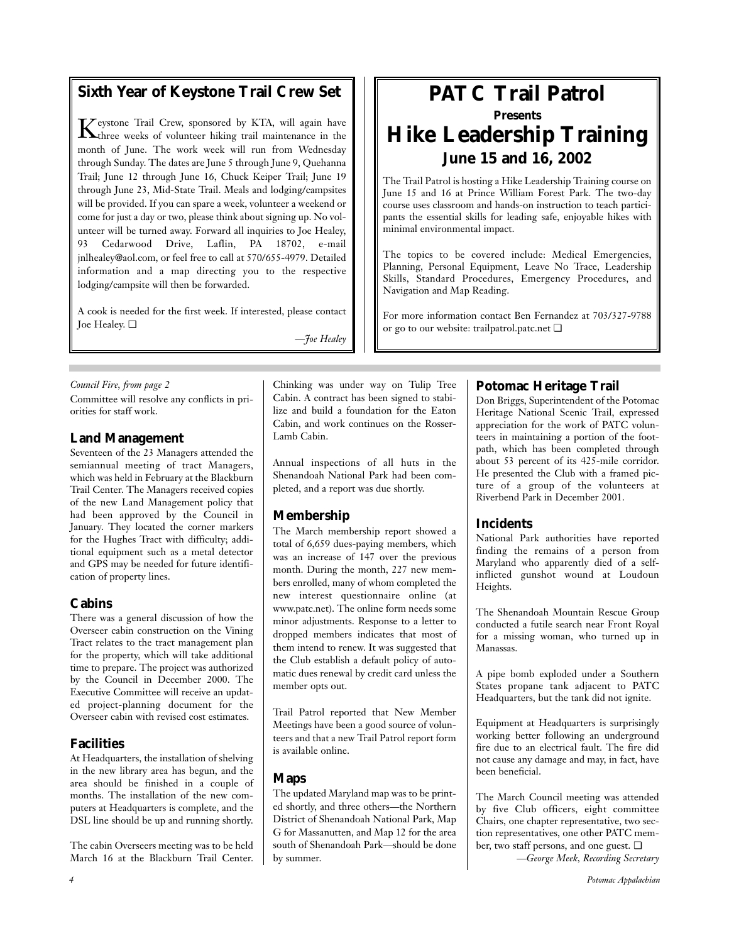## **Sixth Year of Keystone Trail Crew Set**

 $\mathbf{K}$ eystone Trail Crew, sponsored by KTA, will again have three weeks of volunteer hiking trail maintenance in the month of June. The work week will run from Wednesday through Sunday. The dates are June 5 through June 9, Quehanna Trail; June 12 through June 16, Chuck Keiper Trail; June 19 through June 23, Mid-State Trail. Meals and lodging/campsites will be provided. If you can spare a week, volunteer a weekend or come for just a day or two, please think about signing up. No volunteer will be turned away. Forward all inquiries to Joe Healey, 93 Cedarwood Drive, Laflin, PA 18702, e-mail jnlhealey@aol.com, or feel free to call at 570/655-4979. Detailed information and a map directing you to the respective lodging/campsite will then be forwarded.

A cook is needed for the first week. If interested, please contact Joe Healey. ❏

*—Joe Healey*

### *Council Fire, from page 2*

Committee will resolve any conflicts in priorities for staff work.

## **Land Management**

Seventeen of the 23 Managers attended the semiannual meeting of tract Managers, which was held in February at the Blackburn Trail Center. The Managers received copies of the new Land Management policy that had been approved by the Council in January. They located the corner markers for the Hughes Tract with difficulty; additional equipment such as a metal detector and GPS may be needed for future identification of property lines.

## **Cabins**

There was a general discussion of how the Overseer cabin construction on the Vining Tract relates to the tract management plan for the property, which will take additional time to prepare. The project was authorized by the Council in December 2000. The Executive Committee will receive an updated project-planning document for the Overseer cabin with revised cost estimates.

## **Facilities**

At Headquarters, the installation of shelving in the new library area has begun, and the area should be finished in a couple of months. The installation of the new computers at Headquarters is complete, and the DSL line should be up and running shortly.

The cabin Overseers meeting was to be held March 16 at the Blackburn Trail Center. Chinking was under way on Tulip Tree Cabin. A contract has been signed to stabilize and build a foundation for the Eaton Cabin, and work continues on the Rosser-Lamb Cabin.

Annual inspections of all huts in the Shenandoah National Park had been completed, and a report was due shortly.

## **Membership**

The March membership report showed a total of 6,659 dues-paying members, which was an increase of 147 over the previous month. During the month, 227 new members enrolled, many of whom completed the new interest questionnaire online (at www.patc.net). The online form needs some minor adjustments. Response to a letter to dropped members indicates that most of them intend to renew. It was suggested that the Club establish a default policy of automatic dues renewal by credit card unless the member opts out.

Trail Patrol reported that New Member Meetings have been a good source of volunteers and that a new Trail Patrol report form is available online.

## **Maps**

The updated Maryland map was to be printed shortly, and three others—the Northern District of Shenandoah National Park, Map G for Massanutten, and Map 12 for the area south of Shenandoah Park—should be done by summer.

## **PATC Trail Patrol Presents Hike Leadership Training June 15 and 16, 2002**

The Trail Patrol is hosting a Hike Leadership Training course on June 15 and 16 at Prince William Forest Park. The two-day course uses classroom and hands-on instruction to teach participants the essential skills for leading safe, enjoyable hikes with minimal environmental impact.

The topics to be covered include: Medical Emergencies, Planning, Personal Equipment, Leave No Trace, Leadership Skills, Standard Procedures, Emergency Procedures, and Navigation and Map Reading.

For more information contact Ben Fernandez at 703/327-9788 or go to our website: trailpatrol.patc.net ❏

## **Potomac Heritage Trail**

Don Briggs, Superintendent of the Potomac Heritage National Scenic Trail, expressed appreciation for the work of PATC volunteers in maintaining a portion of the footpath, which has been completed through about 53 percent of its 425-mile corridor. He presented the Club with a framed picture of a group of the volunteers at Riverbend Park in December 2001.

## **Incidents**

National Park authorities have reported finding the remains of a person from Maryland who apparently died of a selfinflicted gunshot wound at Loudoun Heights.

The Shenandoah Mountain Rescue Group conducted a futile search near Front Royal for a missing woman, who turned up in Manassas.

A pipe bomb exploded under a Southern States propane tank adjacent to PATC Headquarters, but the tank did not ignite.

Equipment at Headquarters is surprisingly working better following an underground fire due to an electrical fault. The fire did not cause any damage and may, in fact, have been beneficial.

The March Council meeting was attended by five Club officers, eight committee Chairs, one chapter representative, two section representatives, one other PATC member, two staff persons, and one guest. ❏

*—George Meek, Recording Secretary*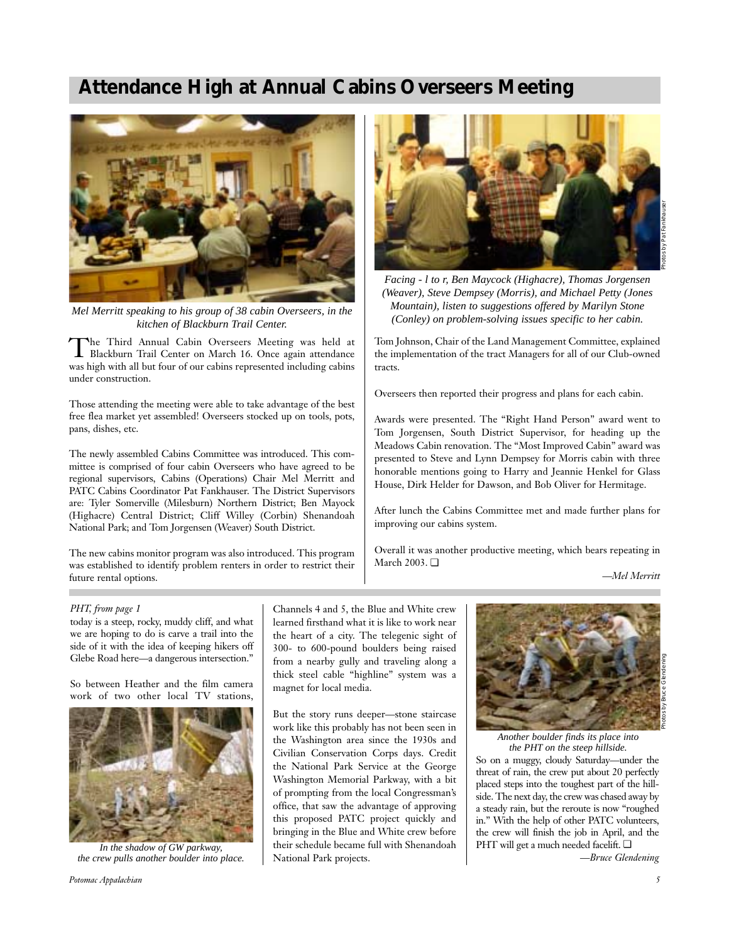## **Attendance High at Annual Cabins Overseers Meeting**



*Mel Merritt speaking to his group of 38 cabin Overseers, in the kitchen of Blackburn Trail Center.*

The Third Annual Cabin Overseers Meeting was held at Blackburn Trail Center on March 16. Once again attendance was high with all but four of our cabins represented including cabins under construction.

Those attending the meeting were able to take advantage of the best free flea market yet assembled! Overseers stocked up on tools, pots, pans, dishes, etc.

The newly assembled Cabins Committee was introduced. This committee is comprised of four cabin Overseers who have agreed to be regional supervisors, Cabins (Operations) Chair Mel Merritt and PATC Cabins Coordinator Pat Fankhauser. The District Supervisors are: Tyler Somerville (Milesburn) Northern District; Ben Mayock (Highacre) Central District; Cliff Willey (Corbin) Shenandoah National Park; and Tom Jorgensen (Weaver) South District.

The new cabins monitor program was also introduced. This program was established to identify problem renters in order to restrict their future rental options.



*Facing - l to r, Ben Maycock (Highacre), Thomas Jorgensen (Weaver), Steve Dempsey (Morris), and Michael Petty (Jones Mountain), listen to suggestions offered by Marilyn Stone (Conley) on problem-solving issues specific to her cabin.*

Tom Johnson, Chair of the Land Management Committee, explained the implementation of the tract Managers for all of our Club-owned tracts.

Overseers then reported their progress and plans for each cabin.

Awards were presented. The "Right Hand Person" award went to Tom Jorgensen, South District Supervisor, for heading up the Meadows Cabin renovation. The "Most Improved Cabin" award was presented to Steve and Lynn Dempsey for Morris cabin with three honorable mentions going to Harry and Jeannie Henkel for Glass House, Dirk Helder for Dawson, and Bob Oliver for Hermitage.

After lunch the Cabins Committee met and made further plans for improving our cabins system.

Overall it was another productive meeting, which bears repeating in March 2003. ❏

*—Mel Merritt*

#### *PHT, from page 1*

today is a steep, rocky, muddy cliff, and what we are hoping to do is carve a trail into the side of it with the idea of keeping hikers off Glebe Road here—a dangerous intersection."

So between Heather and the film camera work of two other local TV stations,



*In the shadow of GW parkway, the crew pulls another boulder into place.*

*Potomac Appalachian 5*

Channels 4 and 5, the Blue and White crew learned firsthand what it is like to work near the heart of a city. The telegenic sight of 300- to 600-pound boulders being raised from a nearby gully and traveling along a thick steel cable "highline" system was a magnet for local media.

But the story runs deeper—stone staircase work like this probably has not been seen in the Washington area since the 1930s and Civilian Conservation Corps days. Credit the National Park Service at the George Washington Memorial Parkway, with a bit of prompting from the local Congressman's office, that saw the advantage of approving this proposed PATC project quickly and bringing in the Blue and White crew before their schedule became full with Shenandoah National Park projects.



So on a muggy, cloudy Saturday—under the threat of rain, the crew put about 20 perfectly placed steps into the toughest part of the hillside. The next day, the crew was chased away by a steady rain, but the reroute is now "roughed in." With the help of other PATC volunteers, the crew will finish the job in April, and the PHT will get a much needed facelift. ❏ *Another boulder finds its place into the PHT on the steep hillside.*

*—Bruce Glendening*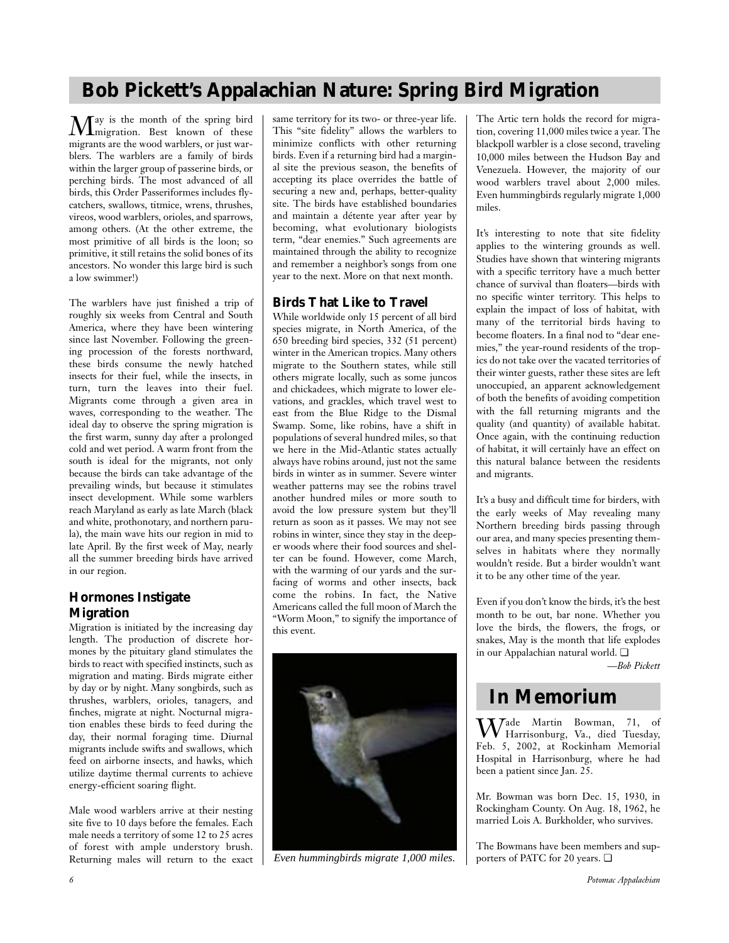## **Bob Pickett's Appalachian Nature: Spring Bird Migration**

May is the month of the spring bird migration. Best known of these migrants are the wood warblers, or just warblers. The warblers are a family of birds within the larger group of passerine birds, or perching birds. The most advanced of all birds, this Order Passeriformes includes flycatchers, swallows, titmice, wrens, thrushes, vireos, wood warblers, orioles, and sparrows, among others. (At the other extreme, the most primitive of all birds is the loon; so primitive, it still retains the solid bones of its ancestors. No wonder this large bird is such a low swimmer!)

The warblers have just finished a trip of roughly six weeks from Central and South America, where they have been wintering since last November. Following the greening procession of the forests northward, these birds consume the newly hatched insects for their fuel, while the insects, in turn, turn the leaves into their fuel. Migrants come through a given area in waves, corresponding to the weather. The ideal day to observe the spring migration is the first warm, sunny day after a prolonged cold and wet period. A warm front from the south is ideal for the migrants, not only because the birds can take advantage of the prevailing winds, but because it stimulates insect development. While some warblers reach Maryland as early as late March (black and white, prothonotary, and northern parula), the main wave hits our region in mid to late April. By the first week of May, nearly all the summer breeding birds have arrived in our region.

## **Hormones Instigate Migration**

Migration is initiated by the increasing day length. The production of discrete hormones by the pituitary gland stimulates the birds to react with specified instincts, such as migration and mating. Birds migrate either by day or by night. Many songbirds, such as thrushes, warblers, orioles, tanagers, and finches, migrate at night. Nocturnal migration enables these birds to feed during the day, their normal foraging time. Diurnal migrants include swifts and swallows, which feed on airborne insects, and hawks, which utilize daytime thermal currents to achieve energy-efficient soaring flight.

Male wood warblers arrive at their nesting site five to 10 days before the females. Each male needs a territory of some 12 to 25 acres of forest with ample understory brush. Returning males will return to the exact same territory for its two- or three-year life. This "site fidelity" allows the warblers to minimize conflicts with other returning birds. Even if a returning bird had a marginal site the previous season, the benefits of accepting its place overrides the battle of securing a new and, perhaps, better-quality site. The birds have established boundaries and maintain a détente year after year by becoming, what evolutionary biologists term, "dear enemies." Such agreements are maintained through the ability to recognize and remember a neighbor's songs from one year to the next. More on that next month.

## **Birds That Like to Travel**

While worldwide only 15 percent of all bird species migrate, in North America, of the 650 breeding bird species, 332 (51 percent) winter in the American tropics. Many others migrate to the Southern states, while still others migrate locally, such as some juncos and chickadees, which migrate to lower elevations, and grackles, which travel west to east from the Blue Ridge to the Dismal Swamp. Some, like robins, have a shift in populations of several hundred miles, so that we here in the Mid-Atlantic states actually always have robins around, just not the same birds in winter as in summer. Severe winter weather patterns may see the robins travel another hundred miles or more south to avoid the low pressure system but they'll return as soon as it passes. We may not see robins in winter, since they stay in the deeper woods where their food sources and shelter can be found. However, come March, with the warming of our yards and the surfacing of worms and other insects, back come the robins. In fact, the Native Americans called the full moon of March the "Worm Moon," to signify the importance of this event.



*Even hummingbirds migrate 1,000 miles.*

The Artic tern holds the record for migration, covering 11,000 miles twice a year. The blackpoll warbler is a close second, traveling 10,000 miles between the Hudson Bay and Venezuela. However, the majority of our wood warblers travel about 2,000 miles. Even hummingbirds regularly migrate 1,000 miles.

It's interesting to note that site fidelity applies to the wintering grounds as well. Studies have shown that wintering migrants with a specific territory have a much better chance of survival than floaters—birds with no specific winter territory. This helps to explain the impact of loss of habitat, with many of the territorial birds having to become floaters. In a final nod to "dear enemies," the year-round residents of the tropics do not take over the vacated territories of their winter guests, rather these sites are left unoccupied, an apparent acknowledgement of both the benefits of avoiding competition with the fall returning migrants and the quality (and quantity) of available habitat. Once again, with the continuing reduction of habitat, it will certainly have an effect on this natural balance between the residents and migrants.

It's a busy and difficult time for birders, with the early weeks of May revealing many Northern breeding birds passing through our area, and many species presenting themselves in habitats where they normally wouldn't reside. But a birder wouldn't want it to be any other time of the year.

Even if you don't know the birds, it's the best month to be out, bar none. Whether you love the birds, the flowers, the frogs, or snakes, May is the month that life explodes in our Appalachian natural world. ❏

*—Bob Pickett*

## **In Memorium**

Wade Martin Bowman, 71, of Harrisonburg, Va., died Tuesday, Feb. 5, 2002, at Rockinham Memorial Hospital in Harrisonburg, where he had been a patient since Jan. 25.

Mr. Bowman was born Dec. 15, 1930, in Rockingham County. On Aug. 18, 1962, he married Lois A. Burkholder, who survives.

The Bowmans have been members and supporters of PATC for 20 years. ❏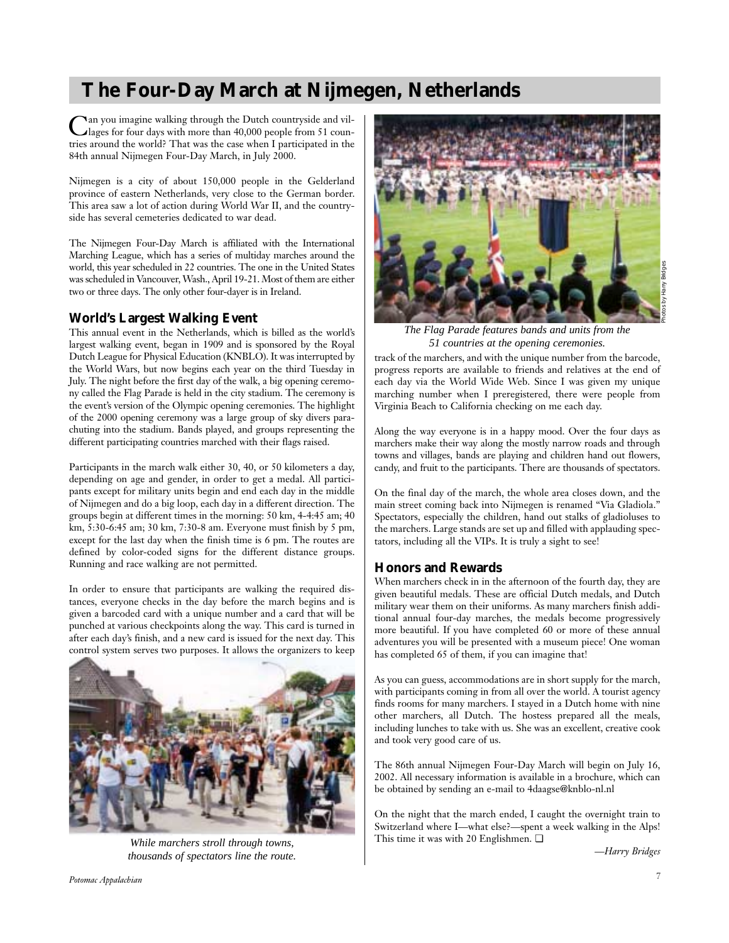## **The Four-Day March at Nijmegen, Netherlands**

Can you imagine walking through the Dutch countryside and vil-lages for four days with more than 40,000 people from 51 countries around the world? That was the case when I participated in the 84th annual Nijmegen Four-Day March, in July 2000.

Nijmegen is a city of about 150,000 people in the Gelderland province of eastern Netherlands, very close to the German border. This area saw a lot of action during World War II, and the countryside has several cemeteries dedicated to war dead.

The Nijmegen Four-Day March is affiliated with the International Marching League, which has a series of multiday marches around the world, this year scheduled in 22 countries. The one in the United States was scheduled in Vancouver, Wash., April 19-21. Most of them are either two or three days. The only other four-dayer is in Ireland.

## **World's Largest Walking Event**

This annual event in the Netherlands, which is billed as the world's largest walking event, began in 1909 and is sponsored by the Royal Dutch League for Physical Education (KNBLO). It was interrupted by the World Wars, but now begins each year on the third Tuesday in July. The night before the first day of the walk, a big opening ceremony called the Flag Parade is held in the city stadium. The ceremony is the event's version of the Olympic opening ceremonies. The highlight of the 2000 opening ceremony was a large group of sky divers parachuting into the stadium. Bands played, and groups representing the different participating countries marched with their flags raised.

Participants in the march walk either 30, 40, or 50 kilometers a day, depending on age and gender, in order to get a medal. All participants except for military units begin and end each day in the middle of Nijmegen and do a big loop, each day in a different direction. The groups begin at different times in the morning: 50 km, 4-4:45 am; 40 km, 5:30-6:45 am; 30 km, 7:30-8 am. Everyone must finish by 5 pm, except for the last day when the finish time is 6 pm. The routes are defined by color-coded signs for the different distance groups. Running and race walking are not permitted.

In order to ensure that participants are walking the required distances, everyone checks in the day before the march begins and is given a barcoded card with a unique number and a card that will be punched at various checkpoints along the way. This card is turned in after each day's finish, and a new card is issued for the next day. This control system serves two purposes. It allows the organizers to keep



*While marchers stroll through towns, thousands of spectators line the route.*



*The Flag Parade features bands and units from the 51 countries at the opening ceremonies.*

track of the marchers, and with the unique number from the barcode, progress reports are available to friends and relatives at the end of each day via the World Wide Web. Since I was given my unique marching number when I preregistered, there were people from Virginia Beach to California checking on me each day.

Along the way everyone is in a happy mood. Over the four days as marchers make their way along the mostly narrow roads and through towns and villages, bands are playing and children hand out flowers, candy, and fruit to the participants. There are thousands of spectators.

On the final day of the march, the whole area closes down, and the main street coming back into Nijmegen is renamed "Via Gladiola." Spectators, especially the children, hand out stalks of gladioluses to the marchers. Large stands are set up and filled with applauding spectators, including all the VIPs. It is truly a sight to see!

### **Honors and Rewards**

When marchers check in in the afternoon of the fourth day, they are given beautiful medals. These are official Dutch medals, and Dutch military wear them on their uniforms. As many marchers finish additional annual four-day marches, the medals become progressively more beautiful. If you have completed 60 or more of these annual adventures you will be presented with a museum piece! One woman has completed 65 of them, if you can imagine that!

As you can guess, accommodations are in short supply for the march, with participants coming in from all over the world. A tourist agency finds rooms for many marchers. I stayed in a Dutch home with nine other marchers, all Dutch. The hostess prepared all the meals, including lunches to take with us. She was an excellent, creative cook and took very good care of us.

The 86th annual Nijmegen Four-Day March will begin on July 16, 2002. All necessary information is available in a brochure, which can be obtained by sending an e-mail to 4daagse@knblo-nl.nl

On the night that the march ended, I caught the overnight train to Switzerland where I—what else?—spent a week walking in the Alps! This time it was with 20 Englishmen. ❏

*—Harry Bridges*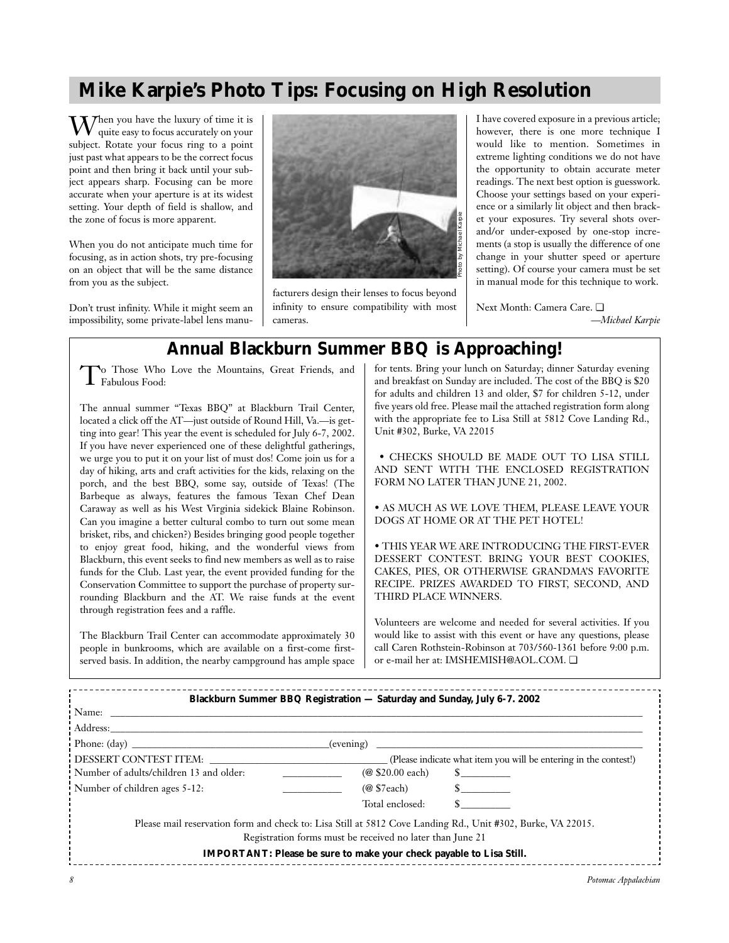## **Mike Karpie's Photo Tips: Focusing on High Resolution**

 $\boldsymbol{W}$ hen you have the luxury of time it is quite easy to focus accurately on your subject. Rotate your focus ring to a point just past what appears to be the correct focus point and then bring it back until your subject appears sharp. Focusing can be more accurate when your aperture is at its widest setting. Your depth of field is shallow, and the zone of focus is more apparent.

When you do not anticipate much time for focusing, as in action shots, try pre-focusing on an object that will be the same distance from you as the subject.

Don't trust infinity. While it might seem an impossibility, some private-label lens manu-



facturers design their lenses to focus beyond infinity to ensure compatibility with most cameras.

I have covered exposure in a previous article; however, there is one more technique I would like to mention. Sometimes in extreme lighting conditions we do not have the opportunity to obtain accurate meter readings. The next best option is guesswork. Choose your settings based on your experience or a similarly lit object and then bracket your exposures. Try several shots overand/or under-exposed by one-stop increments (a stop is usually the difference of one change in your shutter speed or aperture setting). Of course your camera must be set in manual mode for this technique to work.

Next Month: Camera Care. ❏ *—Michael Karpie*

## **Annual Blackburn Summer BBQ is Approaching!**

To Those Who Love the Mountains, Great Friends, and  $\int_{0}^{\infty}$  Thus Food:

The annual summer "Texas BBQ" at Blackburn Trail Center, located a click off the AT—just outside of Round Hill, Va.—is getting into gear! This year the event is scheduled for July 6-7, 2002. If you have never experienced one of these delightful gatherings, we urge you to put it on your list of must dos! Come join us for a day of hiking, arts and craft activities for the kids, relaxing on the porch, and the best BBQ, some say, outside of Texas! (The Barbeque as always, features the famous Texan Chef Dean Caraway as well as his West Virginia sidekick Blaine Robinson. Can you imagine a better cultural combo to turn out some mean brisket, ribs, and chicken?) Besides bringing good people together to enjoy great food, hiking, and the wonderful views from Blackburn, this event seeks to find new members as well as to raise funds for the Club. Last year, the event provided funding for the Conservation Committee to support the purchase of property surrounding Blackburn and the AT. We raise funds at the event through registration fees and a raffle.

The Blackburn Trail Center can accommodate approximately 30 people in bunkrooms, which are available on a first-come firstserved basis. In addition, the nearby campground has ample space

for tents. Bring your lunch on Saturday; dinner Saturday evening and breakfast on Sunday are included. The cost of the BBQ is \$20 for adults and children 13 and older, \$7 for children 5-12, under five years old free. Please mail the attached registration form along with the appropriate fee to Lisa Still at 5812 Cove Landing Rd., Unit #302, Burke, VA 22015

• CHECKS SHOULD BE MADE OUT TO LISA STILL AND SENT WITH THE ENCLOSED REGISTRATION FORM NO LATER THAN JUNE 21, 2002.

• AS MUCH AS WE LOVE THEM, PLEASE LEAVE YOUR DOGS AT HOME OR AT THE PET HOTEL!

• THIS YEAR WE ARE INTRODUCING THE FIRST-EVER DESSERT CONTEST. BRING YOUR BEST COOKIES, CAKES, PIES, OR OTHERWISE GRANDMA'S FAVORITE RECIPE. PRIZES AWARDED TO FIRST, SECOND, AND THIRD PLACE WINNERS.

Volunteers are welcome and needed for several activities. If you would like to assist with this event or have any questions, please call Caren Rothstein-Robinson at 703/560-1361 before 9:00 p.m. or e-mail her at: IMSHEMISH@AOL.COM. ❏

| Blackburn Summer BBQ Registration — Saturday and Sunday, July 6-7. 2002                                     |                                                                     |                                                                  |  |
|-------------------------------------------------------------------------------------------------------------|---------------------------------------------------------------------|------------------------------------------------------------------|--|
|                                                                                                             |                                                                     |                                                                  |  |
| Address:                                                                                                    |                                                                     |                                                                  |  |
| Phone: $(\text{day})$                                                                                       | (evening)                                                           |                                                                  |  |
| DESSERT CONTEST ITEM:                                                                                       |                                                                     | (Please indicate what item you will be entering in the contest!) |  |
| Number of adults/children 13 and older:                                                                     | (@ \$20.00 each)                                                    | $\mathbb{S}$                                                     |  |
| Number of children ages 5-12:                                                                               | $(@$ \$7each)                                                       | $\sim$                                                           |  |
|                                                                                                             | Total enclosed:                                                     |                                                                  |  |
| Please mail reservation form and check to: Lisa Still at 5812 Cove Landing Rd., Unit #302, Burke, VA 22015. | Registration forms must be received no later than June 21           |                                                                  |  |
|                                                                                                             | IMPORTANT: Please be sure to make your check payable to Lisa Still. |                                                                  |  |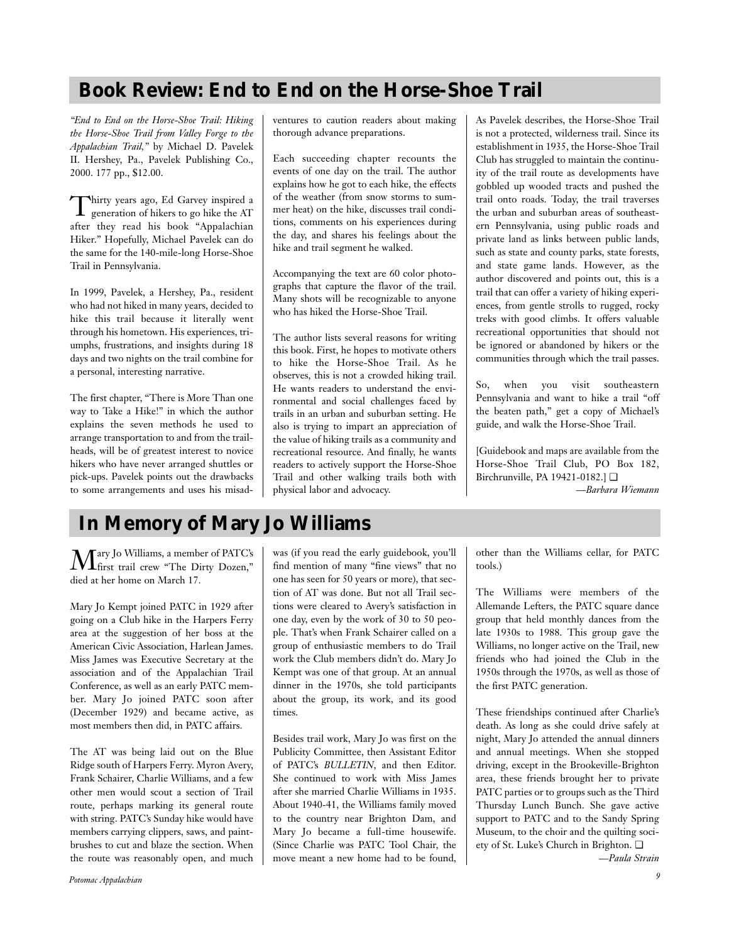## **Book Review: End to End on the Horse-Shoe Trail**

*"End to End on the Horse-Shoe Trail: Hiking the Horse-Shoe Trail from Valley Forge to the Appalachian Trail,"* by Michael D. Pavelek II. Hershey, Pa., Pavelek Publishing Co., 2000. 177 pp., \$12.00.

Thirty years ago, Ed Garvey inspired a generation of hikers to go hike the AT after they read his book "Appalachian Hiker." Hopefully, Michael Pavelek can do the same for the 140-mile-long Horse-Shoe Trail in Pennsylvania.

In 1999, Pavelek, a Hershey, Pa., resident who had not hiked in many years, decided to hike this trail because it literally went through his hometown. His experiences, triumphs, frustrations, and insights during 18 days and two nights on the trail combine for a personal, interesting narrative.

The first chapter, "There is More Than one way to Take a Hike!" in which the author explains the seven methods he used to arrange transportation to and from the trailheads, will be of greatest interest to novice hikers who have never arranged shuttles or pick-ups. Pavelek points out the drawbacks to some arrangements and uses his misadventures to caution readers about making thorough advance preparations.

Each succeeding chapter recounts the events of one day on the trail. The author explains how he got to each hike, the effects of the weather (from snow storms to summer heat) on the hike, discusses trail conditions, comments on his experiences during the day, and shares his feelings about the hike and trail segment he walked.

Accompanying the text are 60 color photographs that capture the flavor of the trail. Many shots will be recognizable to anyone who has hiked the Horse-Shoe Trail.

The author lists several reasons for writing this book. First, he hopes to motivate others to hike the Horse-Shoe Trail. As he observes, this is not a crowded hiking trail. He wants readers to understand the environmental and social challenges faced by trails in an urban and suburban setting. He also is trying to impart an appreciation of the value of hiking trails as a community and recreational resource. And finally, he wants readers to actively support the Horse-Shoe Trail and other walking trails both with physical labor and advocacy.

As Pavelek describes, the Horse-Shoe Trail is not a protected, wilderness trail. Since its establishment in 1935, the Horse-Shoe Trail Club has struggled to maintain the continuity of the trail route as developments have gobbled up wooded tracts and pushed the trail onto roads. Today, the trail traverses the urban and suburban areas of southeastern Pennsylvania, using public roads and private land as links between public lands, such as state and county parks, state forests, and state game lands. However, as the author discovered and points out, this is a trail that can offer a variety of hiking experiences, from gentle strolls to rugged, rocky treks with good climbs. It offers valuable recreational opportunities that should not be ignored or abandoned by hikers or the communities through which the trail passes.

So, when you visit southeastern Pennsylvania and want to hike a trail "off the beaten path," get a copy of Michael's guide, and walk the Horse-Shoe Trail.

[Guidebook and maps are available from the Horse-Shoe Trail Club, PO Box 182, Birchrunville, PA 19421-0182.] ❏

*—Barbara Wiemann*

# **In Memory of Mary Jo Williams**

Mary Jo Williams, a member of PATC's first trail crew "The Dirty Dozen," died at her home on March 17.

Mary Jo Kempt joined PATC in 1929 after going on a Club hike in the Harpers Ferry area at the suggestion of her boss at the American Civic Association, Harlean James. Miss James was Executive Secretary at the association and of the Appalachian Trail Conference, as well as an early PATC member. Mary Jo joined PATC soon after (December 1929) and became active, as most members then did, in PATC affairs.

The AT was being laid out on the Blue Ridge south of Harpers Ferry. Myron Avery, Frank Schairer, Charlie Williams, and a few other men would scout a section of Trail route, perhaps marking its general route with string. PATC's Sunday hike would have members carrying clippers, saws, and paintbrushes to cut and blaze the section. When the route was reasonably open, and much was (if you read the early guidebook, you'll find mention of many "fine views" that no one has seen for 50 years or more), that section of AT was done. But not all Trail sections were cleared to Avery's satisfaction in one day, even by the work of 30 to 50 people. That's when Frank Schairer called on a group of enthusiastic members to do Trail work the Club members didn't do. Mary Jo Kempt was one of that group. At an annual dinner in the 1970s, she told participants about the group, its work, and its good times.

Besides trail work, Mary Jo was first on the Publicity Committee, then Assistant Editor of PATC's *BULLETIN*, and then Editor. She continued to work with Miss James after she married Charlie Williams in 1935. About 1940-41, the Williams family moved to the country near Brighton Dam, and Mary Jo became a full-time housewife. (Since Charlie was PATC Tool Chair, the move meant a new home had to be found, other than the Williams cellar, for PATC tools.)

The Williams were members of the Allemande Lefters, the PATC square dance group that held monthly dances from the late 1930s to 1988. This group gave the Williams, no longer active on the Trail, new friends who had joined the Club in the 1950s through the 1970s, as well as those of the first PATC generation.

These friendships continued after Charlie's death. As long as she could drive safely at night, Mary Jo attended the annual dinners and annual meetings. When she stopped driving, except in the Brookeville-Brighton area, these friends brought her to private PATC parties or to groups such as the Third Thursday Lunch Bunch. She gave active support to PATC and to the Sandy Spring Museum, to the choir and the quilting society of St. Luke's Church in Brighton. ❏

*—Paula Strain*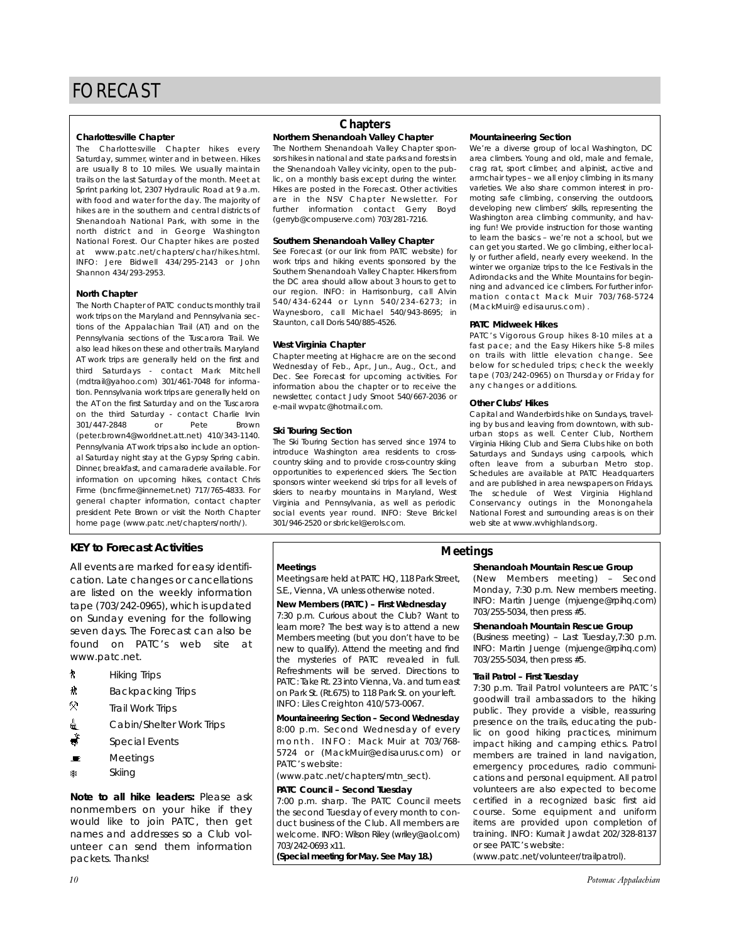#### **Charlottesville Chapter**

The Charlottesville Chapter hikes every Saturday, summer, winter and in between. Hikes are usually 8 to 10 miles. We usually maintain trails on the last Saturday of the month. Meet at Sprint parking lot, 2307 Hydraulic Road at 9 a.m. with food and water for the day. The majority of hikes are in the southern and central districts of Shenandoah National Park, with some in the north district and in George Washington National Forest. Our Chapter hikes are posted at www.patc.net/chapters/char/hikes.html. INFO: Jere Bidwell 434/295-2143 or John Shannon 434/293-2953.

#### **North Chapter**

The North Chapter of PATC conducts monthly trail work trips on the Maryland and Pennsylvania sections of the Appalachian Trail (AT) and on the Pennsylvania sections of the Tuscarora Trail. We also lead hikes on these and other trails. Maryland AT work trips are generally held on the first and third Saturdays - contact Mark Mitchell (mdtrail@yahoo.com) 301/461-7048 for information. Pennsylvania work trips are generally held on the AT on the first Saturday and on the Tuscarora on the third Saturday - contact Charlie Irvin 301/447-2848 or Pete Brown (peter.brown4@worldnet.att.net) 410/343-1140. Pennsylvania AT work trips also include an optional Saturday night stay at the Gypsy Spring cabin. Dinner, breakfast, and camaraderie available. For information on upcoming hikes, contact Chris Firme (bncfirme@innernet.net) 717/765-4833. For general chapter information, contact chapter president Pete Brown or visit the North Chapter home page (www.patc.net/chapters/north/).

### **KEY to Forecast Activities**

All events are marked for easy identification. Late changes or cancellations are listed on the weekly information tape (703/242-0965), which is updated on Sunday evening for the following seven days. The Forecast can also be found on PATC's web site at www.patc.net.

- ` Hiking Trips
- **林** Backpacking Trips
- Q. Trail Work Trips
- <u>d</u> Cabin/Shelter Work Trips
- $\stackrel{*}{\bullet}$  Special Events
- $\blacksquare$  Meetings
- ASkiing

*Note to all hike leaders:* Please ask nonmembers on your hike if they would like to join PATC, then get names and addresses so a Club volunteer can send them information packets. Thanks!

### **Northern Shenandoah Valley Chapter Chapters**

The Northern Shenandoah Valley Chapter sponsors hikes in national and state parks and forests in the Shenandoah Valley vicinity, open to the public, on a monthly basis except during the winter. Hikes are posted in the Forecast. Other activities are in the NSV Chapter Newsletter. For further information contact Gerry Boyd (gerryb@compuserve.com) 703/281-7216.

#### **Southern Shenandoah Valley Chapter**

See Forecast (or our link from PATC website) for work trips and hiking events sponsored by the Southern Shenandoah Valley Chapter. Hikers from the DC area should allow about 3 hours to get to our region. INFO: in Harrisonburg, call Alvin 540/434-6244 or Lynn 540/234-6273; in Waynesboro, call Michael 540/943-8695; in Staunton, call Doris 540/885-4526.

#### **West Virginia Chapter**

Chapter meeting at Highacre are on the second Wednesday of Feb., Apr., Jun., Aug., Oct., and Dec. See Forecast for upcoming activities. For information abou the chapter or to receive the newsletter, contact Judy Smoot 540/667-2036 or e-mail wvpatc@hotmail.com.

#### **Ski Touring Section**

The Ski Touring Section has served since 1974 to introduce Washington area residents to crosscountry skiing and to provide cross-country skiing opportunities to experienced skiers. The Section sponsors winter weekend ski trips for all levels of skiers to nearby mountains in Maryland, West Virginia and Pennsylvania, as well as periodic social events year round. INFO: Steve Brickel 301/946-2520 or sbrickel@erols.com.

#### **Mountaineering Section**

We're a diverse group of local Washington, DC area climbers. Young and old, male and female, crag rat, sport climber, and alpinist, active and armchair types – we all enjoy climbing in its many varieties. We also share common interest in promoting safe climbing, conserving the outdoors, developing new climbers' skills, representing the Washington area climbing community, and having fun! We provide instruction for those wanting to learn the basics – we're not a school, but we can get you started. We go climbing, either locally or further afield, nearly every weekend. In the winter we organize trips to the Ice Festivals in the Adirondacks and the White Mountains for beginning and advanced ice climbers. For further information contact Mack Muir 703/768-5724 (MackMuir@ edisaurus.com) .

#### **PATC Midweek Hikes**

PATC's Vigorous Group hikes 8-10 miles at a fast pace; and the Easy Hikers hike 5-8 miles on trails with little elevation change. See below for scheduled trips; check the weekly tape (703/242-0965) on Thursday or Friday for any changes or additions.

#### **Other Clubs' Hikes**

Capital and Wanderbirds hike on Sundays, traveling by bus and leaving from downtown, with suburban stops as well. Center Club, Northern Virginia Hiking Club and Sierra Clubs hike on both Saturdays and Sundays using carpools, which often leave from a suburban Metro stop. Schedules are available at PATC Headquarters and are published in area newspapers on Fridays. The schedule of West Virginia Highland Conservancy outings in the Monongahela National Forest and surrounding areas is on their web site at www.wvhighlands.org.

#### **Meetings**

Meetings are held at PATC HQ, 118 Park Street, S.E., Vienna, VA unless otherwise noted.

#### **New Members (PATC) – First Wednesday**

7:30 p.m. Curious about the Club? Want to learn more? The best way is to attend a new Members meeting (but you don't have to be new to qualify). Attend the meeting and find the mysteries of PATC revealed in full. Refreshments will be served. Directions to PATC: Take Rt. 23 into Vienna, Va. and turn east on Park St. (Rt.675) to 118 Park St. on your left. INFO: Liles Creighton 410/573-0067.

**Mountaineering Section – Second Wednesday** 8:00 p.m. Second Wednesday of every month. INFO: Mack Muir at 703/768- 5724 or (MackMuir@edisaurus.com) or PATC's website:

(www.patc.net/chapters/mtn\_sect).

#### **PATC Council – Second Tuesday**

7:00 p.m. sharp. The PATC Council meets the second Tuesday of every month to conduct business of the Club. All members are welcome. INFO: Wilson Riley (wriley@aol.com) 703/242-0693 x11.

*(Special meeting for May. See May 18.)*

### **Meetings**

### **Shenandoah Mountain Rescue Group**

(New Members meeting) – Second Monday, 7:30 p.m. New members meeting. INFO: Martin Juenge (mjuenge@rpihq.com) 703/255-5034, then press #5.

#### **Shenandoah Mountain Rescue Group**

(Business meeting) – Last Tuesday,7:30 p.m. INFO: Martin Juenge (mjuenge@rpihq.com) 703/255-5034, then press #5.

#### **Trail Patrol – First Tuesday**

7:30 p.m. Trail Patrol volunteers are PATC's goodwill trail ambassadors to the hiking public. They provide a visible, reassuring presence on the trails, educating the public on good hiking practices, minimum impact hiking and camping ethics. Patrol members are trained in land navigation, emergency procedures, radio communications and personal equipment. All patrol volunteers are also expected to become certified in a recognized basic first aid course. Some equipment and uniform items are provided upon completion of training. INFO: Kumait Jawdat 202/328-8137 or see PATC's website: (www.patc.net/volunteer/trailpatrol).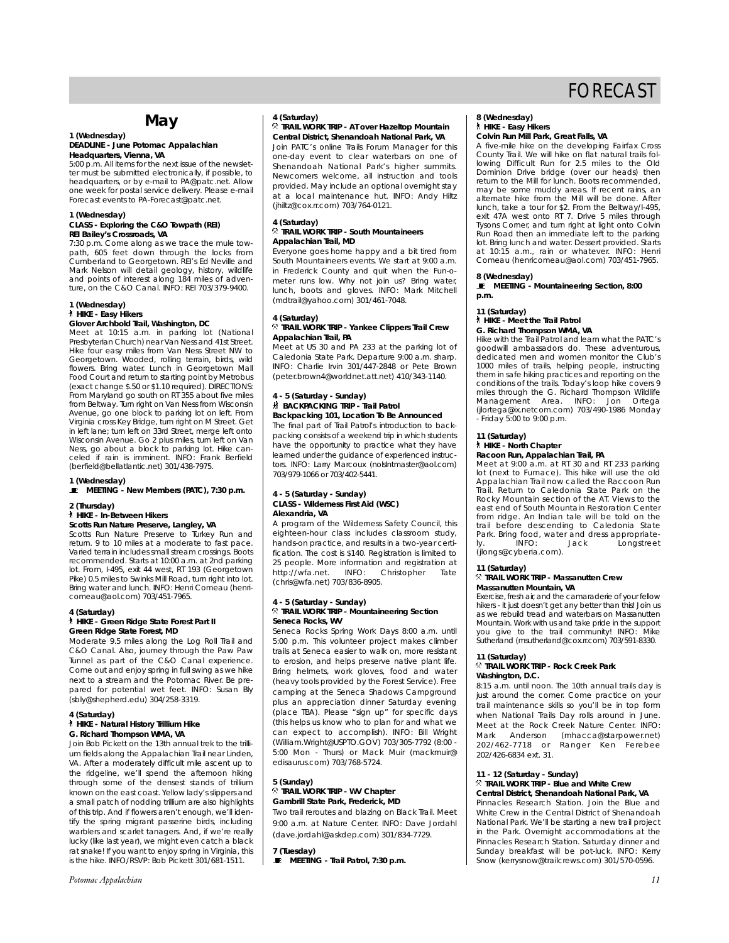## **May**

## **1 (Wednesday)**

#### **DEADLINE - June** *Potomac Appalachian* **Headquarters, Vienna, VA**

5:00 p.m. All items for the next issue of the newsletter must be submitted electronically, if possible, to headquarters, or by e-mail to PA@patc.net. Allow one week for postal service delivery. Please e-mail Forecast events to PA-Forecast@patc.net.

#### **1 (Wednesday)**

#### **CLASS - Exploring the C&O Towpath (REI) REI Bailey's Crossroads, VA**

7:30 p.m. Come along as we trace the mule tow-path, 605 feet down through the locks from Cumberland to Georgetown. REI's Ed Neville and Mark Nelson will detail geology, history, wildlife and points of interest along 184 miles of adventure, on the C&O Canal. INFO: REI 703/379-9400.

#### **1 (Wednesday)** ` **HIKE - Easy Hikers**

#### **Glover Archbold Trail, Washington, DC**

Meet at 10:15 a.m. in parking lot (National Presbyterian Church) near Van Ness and 41st Street. Hike four easy miles from Van Ness Street NW to Georgetown. Wooded, rolling terrain, birds, wild flowers. Bring water. Lunch in Georgetown Mall Food Court and return to starting point by Metrobus (exact change \$.50 or \$1.10 required). DIRECTIONS: From Maryland go south on RT 355 about five miles from Beltway. Turn right on Van Ness from Wisconsin Avenue, go one block to parking lot on left. From Virginia cross Key Bridge, turn right on M Street. Get in left lane; turn left on 33rd Street, merge left onto Wisconsin Avenue. Go 2 plus miles, turn left on Van Ness, go about a block to parking lot. Hike can-celed if rain is imminent. INFO: Frank Berfield (berfield@bellatlantic.net) 301/438-7975.

## **1 (Wednesday)** \ **MEETING - New Members (PATC), 7:30 p.m.**

#### **2 (Thursday)** ` **HIKE - In-Between Hikers**

#### **Scotts Run Nature Preserve, Langley, VA**

Scotts Run Nature Preserve to Turkey Run and return. 9 to 10 miles at a moderate to fast pace. Varied terrain includes small stream crossings. Boots recommended. Starts at 10:00 a.m. at 2nd parking lot. From, I-495, exit 44 west, RT 193 (Georgetown Pike) 0.5 miles to Swinks Mill Road, turn right into lot. Bring water and lunch. INFO: Henri Comeau (henricomeau@aol.com) 703/451-7965.

#### **4 (Saturday)**

#### ` **HIKE - Green Ridge State Forest Part II Green Ridge State Forest, MD**

Moderate 9.5 miles along the Log Roll Trail and C&O Canal. Also, journey through the Paw Paw Tunnel as part of the C&O Canal experience. Come out and enjoy spring in full swing as we hike next to a stream and the Potomac River. Be prepared for potential wet feet. INFO: Susan Bly (sbly@shepherd.edu) 304/258-3319.

#### **4 (Saturday)** ` **HIKE - Natural History Trillium Hike G. Richard Thompson WMA, VA**

Join Bob Pickett on the 13th annual trek to the trillium fields along the Appalachian Trail near Linden, VA. After a moderately difficult mile ascent up to the ridgeline, we'll spend the afternoon hiking through some of the densest stands of trillium known on the east coast. Yellow lady's slippers and a small patch of nodding trillium are also highlights of this trip. And if flowers aren't enough, we'll identify the spring migrant passerine birds, including warblers and scarlet tanagers. And, if we're really lucky (like last year), we might even catch a black rat snake! If you want to enjoy spring in Virginia, this is the hike. INFO/RSVP: Bob Pickett 301/681-1511.

#### **4 (Saturday)**

#### . **TRAIL WORK TRIP - AT over Hazeltop Mountain Central District, Shenandoah National Park, VA**

Join PATC's online Trails Forum Manager for this one-day event to clear waterbars on one of Shenandoah National Park's higher summits. Newcomers welcome, all instruction and tools provided. May include an optional overnight stay at a local maintenance hut. INFO: Andy Hiltz (jhiltz@cox.rr.com) 703/764-0121.

#### **4 (Saturday)** . **TRAIL WORK TRIP - South Mountaineers Appalachian Trail, MD**

Everyone goes home happy and a bit tired from South Mountaineers events. We start at 9:00 a.m. in Frederick County and quit when the Fun-ometer runs low. Why not join us? Bring water, lunch, boots and gloves. INFO: Mark Mitchell (mdtrail@yahoo.com) 301/461-7048.

#### **4 (Saturday)** . **TRAIL WORK TRIP - Yankee Clippers Trail Crew Appalachian Trail, PA**

Meet at US 30 and PA 233 at the parking lot of Caledonia State Park. Departure 9:00 a.m. sharp. INFO: Charlie Irvin 301/447-2848 or Pete Brown (peter.brown4@worldnet.att.net) 410/343-1140.

#### **4 - 5 (Saturday - Sunday)** ~ **BACKPACKING TRIP - Trail Patrol Backpacking 101, Location To Be Announced**

The final part of Trail Patrol's introduction to backpacking consists of a weekend trip in which students have the opportunity to practice what they have learned under the guidance of experienced instructors. INFO: Larry Marcoux (nolslntmaster@aol.com) 703/979-1066 or 703/402-5441.

#### **4 - 5 (Saturday - Sunday) CLASS - Wilderness First Aid (WSC) Alexandria, VA**

A program of the Wilderness Safety Council, this eighteen-hour class includes classroom study, hands-on practice, and results in a two-year certification. The cost is \$140. Registration is limited to 25 people. More information and registration at<br>http://wfa.net. INFO: Christopher Tate http://wfa.net. (chris@wfa.net) 703/836-8905.

## **4 - 5 (Saturday - Sunday)** . **TRAIL WORK TRIP - Mountaineering Section Seneca Rocks, WV**

Seneca Rocks Spring Work Days 8:00 a.m. until 5:00 p.m. This volunteer project makes climber trails at Seneca easier to walk on, more resistant to erosion, and helps preserve native plant life. Bring helmets, work gloves, food and water (heavy tools provided by the Forest Service). Free camping at the Seneca Shadows Campground plus an appreciation dinner Saturday evening (place TBA). Please "sign up" for specific days (this helps us know who to plan for and what we can expect to accomplish). INFO: Bill Wright (William.Wright@USPTO.GOV) 703/305-7792 (8:00 - 5:00 Mon - Thurs) or Mack Muir (mackmuir@ edisaurus.com) 703/768-5724.

#### **5 (Sunday)** . **TRAIL WORK TRIP - WV Chapter Gambrill State Park, Frederick, MD**

Two trail reroutes and blazing on Black Trail. Meet 9:00 a.m. at Nature Center. INFO: Dave Jordahl (dave.jordahl@askdep.com) 301/834-7729.

**7 (Tuesday)**  $\blacksquare$  MEETING - Trail Patrol, 7:30 p.m.

## **8 (Wednesday)** ` **HIKE - Easy Hikers**

#### **Colvin Run Mill Park, Great Falls, VA**

A five-mile hike on the developing Fairfax Cross County Trail. We will hike on flat natural trails following Difficult Run for 2.5 miles to the Old Dominion Drive bridge (over our heads) then return to the Mill for lunch. Boots recommended, may be some muddy areas. If recent rains, an alternate hike from the Mill will be done. After lunch, take a tour for \$2. From the Beltway/I-495, exit 47A west onto RT 7. Drive 5 miles through Tysons Corner, and turn right at light onto Colvin Run Road then an immediate left to the parking lot. Bring lunch and water. Dessert provided. Starts at 10:15 a.m., rain or whatever. INFO: Henri Comeau (henricomeau@aol.com) 703/451-7965.

#### **8 (Wednesday)**

**E** MEETING - Mountaineering Section, 8:00 **p.m.**

#### **11 (Saturday)**

### ` **HIKE - Meet the Trail Patrol**

**G. Richard Thompson WMA, VA** Hike with the Trail Patrol and learn what the PATC's goodwill ambassadors do. These adventurous, dedicated men and women monitor the Club's 1000 miles of trails, helping people, instructing them in safe hiking practices and reporting on the conditions of the trails. Today's loop hike covers 9 miles through the G. Richard Thompson Wildlife Management Area. INFO: Jon Ortega (jlortega@ix.netcom.com) 703/490-1986 Monday

- Friday 5:00 to 9:00 p.m.

#### **11 (Saturday)** ` **HIKE - North Chapter**

### **Racoon Run, Appalachian Trail, PA**

Meet at 9:00 a.m. at RT 30 and RT 233 parking lot (next to Furnace). This hike will use the old Appalachian Trail now called the Raccoon Run Trail. Return to Caledonia State Park on the Rocky Mountain section of the AT. Views to the east end of South Mountain Restoration Center from ridge. An Indian tale will be told on the trail before descending to Caledonia State Park. Bring food, water and dress appropriate-INFO: Jack Longstreet (jlongs@cyberia.com).

#### **11 (Saturday)**

#### . **TRAIL WORK TRIP - Massanutten Crew Massanutten Mountain, VA**

Exercise, fresh air, and the camaraderie of your fellow hikers - it just doesn't get any better than this! Join us as we rebuild tread and waterbars on Massanutten Mountain. Work with us and take pride in the support you give to the trail community! INFO: Mike Sutherland (msutherland@cox.rr.com) 703/591-8330.

#### **11 (Saturday)**

#### . **TRAIL WORK TRIP - Rock Creek Park Washington, D.C.**

8:15 a.m. until noon. The 10th annual trails day is just around the corner. Come practice on your trail maintenance skills so you'll be in top form when National Trails Day rolls around in June. Meet at the Rock Creek Nature Center. INFO:<br>Mark Anderson (mhacca@starpower.net) Mark Anderson (mhacca@starpower.net)<br>202/462-7718 or Ranger Ken Ferebee Ranger Ken Ferebee 202/426-6834 ext. 31.

#### **11 - 12 (Saturday - Sunday)**

#### . **TRAIL WORK TRIP - Blue and White Crew Central District, Shenandoah National Park, VA**

Pinnacles Research Station. Join the Blue and White Crew in the Central District of Shenandoah National Park. We'll be starting a new trail project in the Park. Overnight accommodations at the Pinnacles Research Station. Saturday dinner and Sunday breakfast will be pot-luck. INFO: Kerry Snow (kerrysnow@trailcrews.com) 301/570-0596.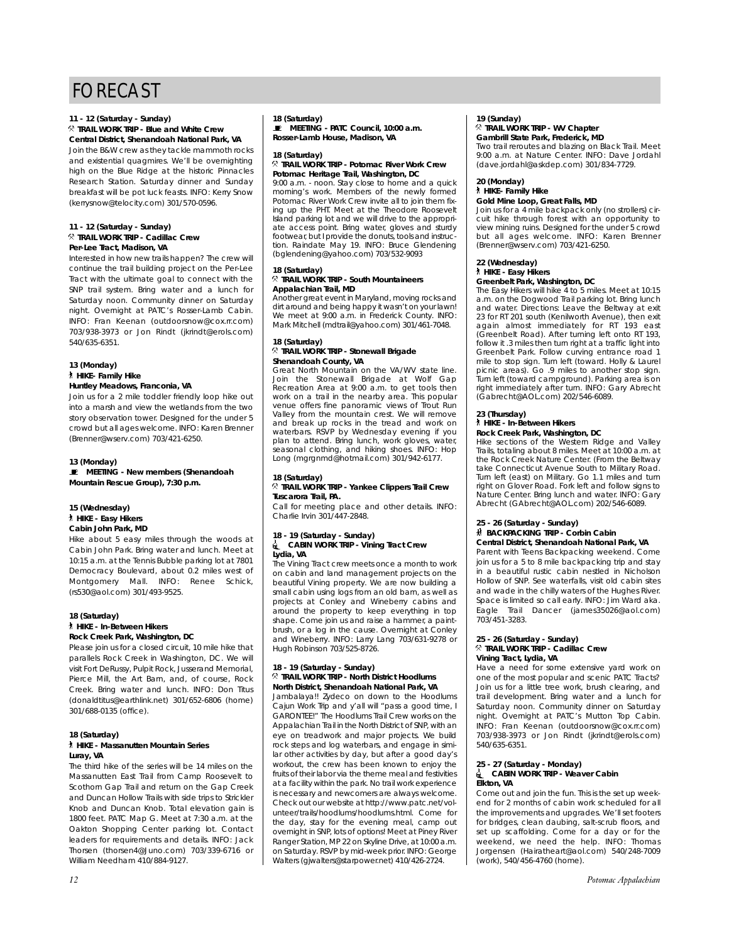## **11 - 12 (Saturday - Sunday)**

### . **TRAIL WORK TRIP - Blue and White Crew Central District, Shenandoah National Park, VA**

Join the B&W crew as they tackle mammoth rocks and existential quagmires. We'll be overnighting high on the Blue Ridge at the historic Pinnacles Research Station. Saturday dinner and Sunday breakfast will be pot luck feasts. INFO: Kerry Snow (kerrysnow@telocity.com) 301/570-0596.

#### **11 - 12 (Saturday - Sunday)** . **TRAIL WORK TRIP - Cadillac Crew Per-Lee Tract, Madison, VA**

Interested in how new trails happen? The crew will continue the trail building project on the Per-Lee Tract with the ultimate goal to connect with the SNP trail system. Bring water and a lunch for Saturday noon. Community dinner on Saturday night. Overnight at PATC's Rosser-Lamb Cabin. INFO: Fran Keenan (outdoorsnow@cox.rr.com) 703/938-3973 or Jon Rindt (jkrindt@erols.com) 540/635-6351.

#### **13 (Monday)** ` **HIKE- Family Hike Huntley Meadows, Franconia, VA**

Join us for a 2 mile toddler friendly loop hike out into a marsh and view the wetlands from the two story observation tower. Designed for the under 5 crowd but all ages welcome. INFO: Karen Brenner (Brenner@wserv.com) 703/421-6250.

#### **13 (Monday)**

 $\bullet$  MEETING - New members (Shenandoah **Mountain Rescue Group), 7:30 p.m.**

#### **15 (Wednesday)** ` **HIKE - Easy Hikers Cabin John Park, MD**

Hike about 5 easy miles through the woods at Cabin John Park. Bring water and lunch. Meet at 10:15 a.m. at the Tennis Bubble parking lot at 7801 Democracy Boulevard, about 0.2 miles west of Montgomery Mall. INFO: Renee Schick, (rs530@aol.com) 301/493-9525.

#### **18 (Saturday)** ` **HIKE - In-Between Hikers Rock Creek Park, Washington, DC**

Please join us for a closed circuit, 10 mile hike that parallels Rock Creek in Washington, DC. We will visit Fort DeRussy, Pulpit Rock, Jusserand Memorial, Pierce Mill, the Art Barn, and, of course, Rock Creek. Bring water and lunch. INFO: Don Titus (donaldtitus@earthlink.net) 301/652-6806 (home) 301/688-0135 (office).

#### **18 (Saturday)** ` **HIKE - Massanutten Mountain Series Luray, VA**

The third hike of the series will be 14 miles on the Massanutten East Trail from Camp Roosevelt to Scothorn Gap Trail and return on the Gap Creek and Duncan Hollow Trails with side trips to Strickler Knob and Duncan Knob. Total elevation gain is 1800 feet. PATC Map G. Meet at 7:30 a.m. at the Oakton Shopping Center parking lot. Contact leaders for requirements and details. INFO: Jack Thorsen (thorsen4@Juno.com) 703/339-6716 or William Needham 410/884-9127.

### **18 (Saturday)** \ **MEETING - PATC Council, 10:00 a.m.**

**Rosser-Lamb House, Madison, VA**

### **18 (Saturday)**

. **TRAIL WORK TRIP - Potomac River Work Crew Potomac Heritage Trail, Washington, DC**

9:00 a.m. - noon. Stay close to home and a quick morning's work. Members of the newly formed Potomac River Work Crew invite all to join them fixing up the PHT. Meet at the Theodore Roosevelt Island parking lot and we will drive to the appropriate access point. Bring water, gloves and sturdy footwear, but I provide the donuts, tools and instruction. Raindate May 19. INFO: Bruce Glendening (bglendening@yahoo.com) 703/532-9093

### **18 (Saturday)**

#### . **TRAIL WORK TRIP - South Mountaineers Appalachian Trail, MD**

Another great event in Maryland, moving rocks and dirt around and being happy it wasn't on your lawn! We meet at 9:00 a.m. in Frederick County. INFO: Mark Mitchell (mdtrail@yahoo.com) 301/461-7048.

#### **18 (Saturday)** . **TRAIL WORK TRIP - Stonewall Brigade Shenandoah County, VA**

Great North Mountain on the VA/WV state line. Join the Stonewall Brigade at Wolf Gap Recreation Area at 9:00 a.m. to get tools then work on a trail in the nearby area. This popular venue offers fine panoramic views of Trout Run Valley from the mountain crest. We will remove and break up rocks in the tread and work on waterbars. RSVP by Wednesday evening if you plan to attend. Bring lunch, work gloves, water, seasonal clothing, and hiking shoes. INFO: Hop Long (mgrgnmd@hotmail.com) 301/942-6177.

## **18 (Saturday)**

#### . **TRAIL WORK TRIP - Yankee Clippers Trail Crew Tuscarora Trail, PA.**

Call for meeting place and other details. INFO: Charlie Irvin 301/447-2848.

# **18 - 19 (Saturday - Sunday)** i **CABIN WORK TRIP - Vining Tract Crew**

## **Lydia, VA**

The Vining Tract crew meets once a month to work on cabin and land management projects on the beautiful Vining property. We are now building a small cabin using logs from an old barn, as well as projects at Conley and Wineberry cabins and around the property to keep everything in top shape. Come join us and raise a hammer, a paintbrush, or a log in the cause. Overnight at Conley and Wineberry. INFO: Larry Lang 703/631-9278 or Hugh Robinson 703/525-8726.

#### **18 - 19 (Saturday - Sunday)** . **TRAIL WORK TRIP - North District Hoodlums North District, Shenandoah National Park, VA**

Jambalaya!! Zydeco on down to the Hoodlums Cajun Work Trip and y'all will "pass a good time, I GARONTEE!" The Hoodlums Trail Crew works on the Appalachian Trail in the North District of SNP, with an eye on treadwork and major projects. We build rock steps and log waterbars, and engage in similar other activities by day, but after a good day's workout, the crew has been known to enjoy the fruits of their labor via the theme meal and festivities at a facility within the park. No trail work experience is necessary and newcomers are always welcome. Check out our website at http://www.patc.net/volunteer/trails/hoodlums/hoodlums.html. Come for the day, stay for the evening meal, camp out overnight in SNP, lots of options! Meet at Piney River Ranger Station, MP 22 on Skyline Drive, at 10:00 a.m. on Saturday. RSVP by mid-week prior. INFO: George Walters (gjwalters@starpower.net) 410/426-2724.

#### **19 (Sunday)** . **TRAIL WORK TRIP - WV Chapter**

#### **Gambrill State Park, Frederick, MD**

Two trail reroutes and blazing on Black Trail. Meet 9:00 a.m. at Nature Center. INFO: Dave Jordahl (dave.jordahl@askdep.com) 301/834-7729.

### **20 (Monday)** ` **HIKE- Family Hike**

#### **Gold Mine Loop, Great Falls, MD** Join us for a 4 mile backpack only (no strollers) circuit hike through forest with an opportunity to

view mining ruins. Designed for the under 5 crowd but all ages welcome. INFO: Karen Brenner (Brenner@wserv.com) 703/421-6250.

#### **22 (Wednesday)** ` **HIKE - Easy Hikers**

#### **Greenbelt Park, Washington, DC**

The Easy Hikers will hike 4 to 5 miles. Meet at 10:15 a.m. on the Dogwood Trail parking lot. Bring lunch and water. Directions: Leave the Beltway at exit 23 for RT 201 south (Kenilworth Avenue), then exit again almost immediately for RT 193 east (Greenbelt Road). After turning left onto RT 193, follow it .3 miles then turn right at a traffic light into Greenbelt Park. Follow curving entrance road 1 mile to stop sign. Turn left (toward. Holly & Laurel picnic areas). Go .9 miles to another stop sign. Turn left (toward campground). Parking area is on right immediately after turn. INFO: Gary Abrecht (Gabrecht@AOL.com) 202/546-6089.

#### **23 (Thursday)**

## ` **HIKE - In-Between Hikers**

### **Rock Creek Park, Washington, DC**

Hike sections of the Western Ridge and Valley Trails, totaling about 8 miles. Meet at 10:00 a.m. at the Rock Creek Nature Center. (From the Beltway take Connecticut Avenue South to Military Road. Turn left (east) on Military. Go 1.1 miles and turn right on Glover Road. Fork left and follow signs to Nature Center. Bring lunch and water. INFO: Gary Abrecht (GAbrecht@AOL.com) 202/546-6089.

### **25 - 26 (Saturday - Sunday)** ~ **BACKPACKING TRIP - Corbin Cabin**

**Central District, Shenandoah National Park, VA** Parent with Teens Backpacking weekend. Come join us for a 5 to 8 mile backpacking trip and stay in a beautiful rustic cabin nestled in Nicholson Hollow of SNP. See waterfalls, visit old cabin sites and wade in the chilly waters of the Hughes River. Space is limited so call early. INFO: Jim Ward aka. Eagle Trail Dancer (james35026@aol.com) 703/451-3283.

### **25 - 26 (Saturday - Sunday)** . **TRAIL WORK TRIP - Cadillac Crew Vining Tract, Lydia, VA**

Have a need for some extensive yard work on one of the most popular and scenic PATC Tracts? Join us for a little tree work, brush clearing, and trail development. Bring water and a lunch for Saturday noon. Community dinner on Saturday night. Overnight at PATC's Mutton Top Cabin. INFO: Fran Keenan (outdoorsnow@cox.rr.com) 703/938-3973 or Jon Rindt (jkrindt@erols.com) 540/635-6351.

#### **25 - 27 (Saturday - Monday)** i **CABIN WORK TRIP - Weaver Cabin Elkton, VA**

Come out and join the fun. This is the set up weekend for 2 months of cabin work scheduled for all the improvements and upgrades. We'll set footers for bridges, clean daubing, salt-scrub floors, and set up scaffolding. Come for a day or for the weekend, we need the help. INFO: Thomas Jorgensen (Hairatheart@aol.com) 540/248-7009 (work), 540/456-4760 (home).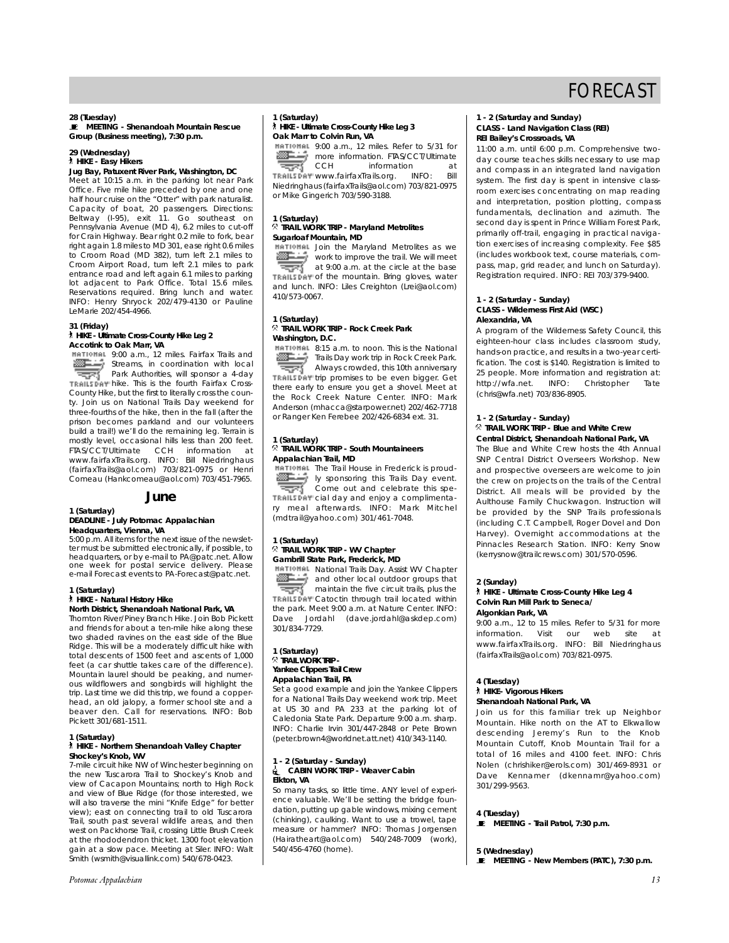**28 (Tuesday)** \ **MEETING - Shenandoah Mountain Rescue Group (Business meeting), 7:30 p.m.**

#### **29 (Wednesday)** ` **HIKE - Easy Hikers**

## **Jug Bay, Patuxent River Park, Washington, DC**

Meet at 10:15 a.m. in the parking lot near Park Office. Five mile hike preceded by one and one half hour cruise on the "Otter" with park naturalist. Capacity of boat, 20 passengers. Directions: Beltway (I-95), exit 11. Go southeast on Pennsylvania Avenue (MD 4), 6.2 miles to cut-off for Crain Highway. Bear right 0.2 mile to fork, bear right again 1.8 miles to MD 301, ease right 0.6 miles to Croom Road (MD 382), turn left 2.1 miles to Croom Airport Road, turn left 2.1 miles to park entrance road and left again 6.1 miles to parking lot adjacent to Park Office. Total 15.6 miles. Reservations required. Bring lunch and water. INFO: Henry Shryock 202/479-4130 or Pauline LeMarie 202/454-4966.

#### **31 (Friday)**

#### ` **HIKE - Ultimate Cross-County Hike Leg 2 Accotink to Oak Marr, VA**

9:00 a.m., 12 miles. Fairfax Trails and ▩∸ Streams, in coordination with local Park Authorities, will sponsor a 4-day TRAILS DAY hike. This is the fourth Fairfax Cross-County Hike, but the first to literally cross the county. Join us on National Trails Day weekend for three-fourths of the hike, then in the fall (after the prison becomes parkland and our volunteers build a trail!) we'll do the remaining leg. Terrain is mostly level, occasional hills less than 200 feet. FTAS/CCT/Ultimate CCH information at www.fairfaxTrails.org. INFO: Bill Niedringhaus (fairfaxTrails@aol.com) 703/821-0975 or Henri Comeau (Hankcomeau@aol.com) 703/451-7965.

### **June**

#### **1 (Saturday) DEADLINE - July** *Potomac Appalachian* **Headquarters, Vienna, VA**

5:00 p.m. All items for the next issue of the newsletter must be submitted electronically, if possible, to headquarters, or by e-mail to PA@patc.net. Allow one week for postal service delivery. Please e-mail Forecast events to PA-Forecast@patc.net.

#### **1 (Saturday)**

#### ` **HIKE - Natural History Hike North District, Shenandoah National Park, VA**

Thornton River/Piney Branch Hike. Join Bob Pickett and friends for about a ten-mile hike along these two shaded ravines on the east side of the Blue Ridge. This will be a moderately difficult hike with total descents of 1500 feet and ascents of 1,000 feet (a car shuttle takes care of the difference). Mountain laurel should be peaking, and numerous wildflowers and songbirds will highlight the trip. Last time we did this trip, we found a copperhead, an old jalopy, a former school site and a beaver den. Call for reservations. INFO: Bob Pickett 301/681-1511.

#### **1 (Saturday)** ` **HIKE - Northern Shenandoah Valley Chapter Shockey's Knob, WV**

7-mile circuit hike NW of Winchester beginning on the new Tuscarora Trail to Shockey's Knob and view of Cacapon Mountains; north to High Rock and view of Blue Ridge (for those interested, we will also traverse the mini "Knife Edge" for better view); east on connecting trail to old Tuscarora Trail, south past several wildlife areas, and then west on Packhorse Trail, crossing Little Brush Creek at the rhododendron thicket. 1300 foot elevation gain at a slow pace. Meeting at Siler. INFO: Walt Smith (wsmith@visuallink.com) 540/678-0423.

#### *Potomac Appalachian 13*

### **1 (Saturday)** ` **HIKE - Ultimate Cross-County Hike Leg 3 Oak Marr to Colvin Run, VA**

9:00 a.m., 12 miles. Refer to 5/31 for more information. FTAS/CCT/Ultimate কৰ information at<br>calls org  $\overline{C}$  INFO: Rill TRAILSDAY www.fairfaxTrails.org. Niedringhaus (fairfaxTrails@aol.com) 703/821-0975 or Mike Gingerich 703/590-3188.

### **1 (Saturday)** . **TRAIL WORK TRIP - Maryland Metrolites Sugarloaf Mountain, MD**

**HATIOHAL** Join the Maryland Metrolites as we work to improve the trail. We will meet

কৰ at 9:00 a.m. at the circle at the base TRAILSEAT of the mountain. Bring gloves, water and lunch. INFO: Liles Creighton (Lrei@aol.com) 410/573-0067.

### **1 (Saturday)** . **TRAIL WORK TRIP - Rock Creek Park Washington, D.C.**

8:15 a.m. to noon. This is the National ☞∸ Trails Day work trip in Rock Creek Park. কৰ Always crowded, this 10th anniversary TRAILEDAY trip promises to be even bigger. Get there early to ensure you get a shovel. Meet at

the Rock Creek Nature Center. INFO: Mark Anderson (mhacca@starpower.net) 202/462-7718 or Ranger Ken Ferebee 202/426-6834 ext. 31.

#### **1 (Saturday)** . **TRAIL WORK TRIP - South Mountaineers Appalachian Trail, MD**

**HATIOHAL** The Trail House in Frederick is proudly sponsoring this Trails Day event. Come out and celebrate this spe-TRAILSENY cial day and enjoy a complimentary meal afterwards. INFO: Mark Mitchel (mdtrail@yahoo.com) 301/461-7048.

#### **1 (Saturday)**

#### . **TRAIL WORK TRIP - WV Chapter Gambrill State Park, Frederick, MD**

**HATIONAL National Trails Day. Assist WV Chapter** 

æ. and other local outdoor groups that maintain the five circuit trails, plus the TRAILSDAY Catoctin through trail located within the park. Meet 9:00 a.m. at Nature Center. INFO: Dave Jordahl (dave.jordahl@askdep.com) 301/834-7729.

#### **1 (Saturday)** . **TRAIL WORK TRIP - Yankee Clippers Trail Crew Appalachian Trail, PA**

Set a good example and join the Yankee Clippers for a National Trails Day weekend work trip. Meet at US 30 and PA 233 at the parking lot of Caledonia State Park. Departure 9:00 a.m. sharp. INFO: Charlie Irvin 301/447-2848 or Pete Brown (peter.brown4@worldnet.att.net) 410/343-1140.

#### **1 - 2 (Saturday - Sunday)** i **CABIN WORK TRIP - Weaver Cabin Elkton, VA**

So many tasks, so little time. ANY level of experience valuable. We'll be setting the bridge foundation, putting up gable windows, mixing cement (chinking), caulking. Want to use a trowel, tape measure or hammer? INFO: Thomas Jorgensen (Hairatheart@aol.com) 540/248-7009 (work), 540/456-4760 (home).

#### **1 - 2 (Saturday and Sunday) CLASS - Land Navigation Class (REI) REI Bailey's Crossroads, VA**

11:00 a.m. until 6:00 p.m. Comprehensive twoday course teaches skills necessary to use map and compass in an integrated land navigation system. The first day is spent in intensive classroom exercises concentrating on map reading and interpretation, position plotting, compass fundamentals, declination and azimuth. The second day is spent in Prince William Forest Park, primarily off-trail, engaging in practical navigation exercises of increasing complexity. Fee \$85 (includes workbook text, course materials, compass, map, grid reader, and lunch on Saturday). Registration required. INFO: REI 703/379-9400.

#### **1 - 2 (Saturday - Sunday) CLASS - Wilderness First Aid (WSC) Alexandria, VA**

A program of the Wilderness Safety Council, this eighteen-hour class includes classroom study, hands-on practice, and results in a two-year certification. The cost is \$140. Registration is limited to 25 people. More information and registration at: http://wfa.net. INFO: Christopher Tate (chris@wfa.net) 703/836-8905.

#### **1 - 2 (Saturday - Sunday)**

#### . **TRAIL WORK TRIP - Blue and White Crew Central District, Shenandoah National Park, VA**

The Blue and White Crew hosts the 4th Annual SNP Central District Overseers Workshop. New and prospective overseers are welcome to join the crew on projects on the trails of the Central District. All meals will be provided by the Aulthouse Family Chuckwagon. Instruction will be provided by the SNP Trails professionals (including C.T. Campbell, Roger Dovel and Don Harvey). Overnight accommodations at the Pinnacles Research Station. INFO: Kerry Snow (kerrysnow@trailcrews.com) 301/570-0596.

#### **2 (Sunday)**

#### ` **HIKE - Ultimate Cross-County Hike Leg 4 Colvin Run Mill Park to Seneca/ Algonkian Park, VA**

9:00 a.m., 12 to 15 miles. Refer to 5/31 for more information. Visit our web site at www.fairfaxTrails.org. INFO: Bill Niedringhaus (fairfaxTrails@aol.com) 703/821-0975.

#### **4 (Tuesday)**

## ` **HIKE- Vigorous Hikers**

### **Shenandoah National Park, VA**

Join us for this familiar trek up Neighbor Mountain. Hike north on the AT to Elkwallow descending Jeremy's Run to the Knob Mountain Cutoff, Knob Mountain Trail for a total of 16 miles and 4100 feet. INFO: Chris Nolen (chrishiker@erols.com) 301/469-8931 or Dave Kennamer (dkennamr@yahoo.com) 301/299-9563.

#### **4 (Tuesday)**

 $\mathbf{E}$  MEETING - Trail Patrol, 7:30 p.m.

#### **5 (Wednesday)**

**E** MEETING - New Members (PATC), 7:30 p.m.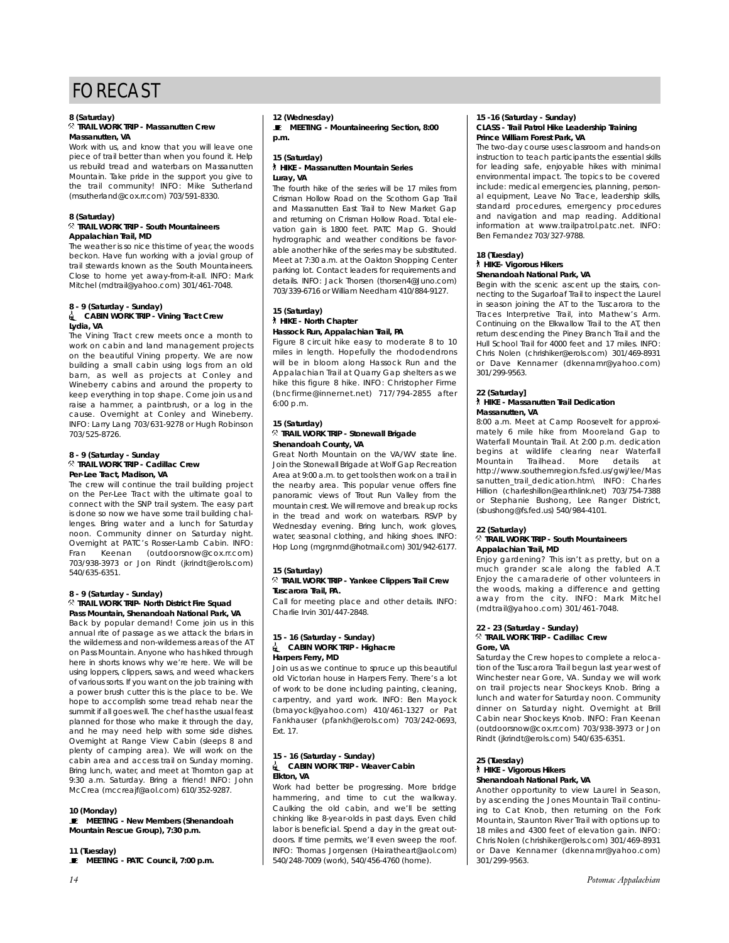#### **8 (Saturday)** . **TRAIL WORK TRIP - Massanutten Crew**

## **Massanutten, VA**

Work with us, and know that you will leave one piece of trail better than when you found it. Help us rebuild tread and waterbars on Massanutten Mountain. Take pride in the support you give to the trail community! INFO: Mike Sutherland (msutherland@cox.rr.com) 703/591-8330.

### **8 (Saturday)**

. **TRAIL WORK TRIP - South Mountaineers Appalachian Trail, MD**

The weather is so nice this time of year, the woods beckon. Have fun working with a jovial group of trail stewards known as the South Mountaineers. Close to home yet away-from-it-all. INFO: Mark Mitchel (mdtrail@yahoo.com) 301/461-7048.

#### **8 - 9 (Saturday - Sunday) di CABIN WORK TRIP - Vining Tract Crew Lydia, VA**

The Vining Tract crew meets once a month to work on cabin and land management projects on the beautiful Vining property. We are now building a small cabin using logs from an old barn, as well as projects at Conley and Wineberry cabins and around the property to keep everything in top shape. Come join us and raise a hammer, a paintbrush, or a log in the cause. Overnight at Conley and Wineberry. INFO: Larry Lang 703/631-9278 or Hugh Robinson 703/525-8726.

#### **8 - 9 (Saturday - Sunday** . **TRAIL WORK TRIP - Cadillac Crew Per-Lee Tract, Madison, VA**

The crew will continue the trail building project on the Per-Lee Tract with the ultimate goal to connect with the SNP trail system. The easy part is done so now we have some trail building challenges. Bring water and a lunch for Saturday noon. Community dinner on Saturday night. Overnight at PATC's Rosser-Lamb Cabin. INFO: Fran Keenan (outdoorsnow@cox.rr.com) 703/938-3973 or Jon Rindt (jkrindt@erols.com) 540/635-6351.

#### **8 - 9 (Saturday - Sunday)** . **TRAIL WORK TRIP- North District Fire Squad Pass Mountain, Shenandoah National Park, VA**

Back by popular demand! Come join us in this annual rite of passage as we attack the briars in the wilderness and non-wilderness areas of the AT on Pass Mountain. Anyone who has hiked through here in shorts knows why we're here. We will be using loppers, clippers, saws, and weed whackers of various sorts. If you want on the job training with a power brush cutter this is the place to be. We hope to accomplish some tread rehab near the summit if all goes well. The chef has the usual feast planned for those who make it through the day, and he may need help with some side dishes. Overnight at Range View Cabin (sleeps 8 and plenty of camping area). We will work on the cabin area and access trail on Sunday morning. Bring lunch, water, and meet at Thornton gap at 9:30 a.m. Saturday. Bring a friend! INFO: John McCrea (mccreajf@aol.com) 610/352-9287.

#### **10 (Monday)**

**E** MEETING - New Members (Shenandoah **Mountain Rescue Group), 7:30 p.m.**

#### **11 (Tuesday)**

 $\blacksquare$  MEETING - PATC Council, 7:00 p.m.

#### **12 (Wednesday) E** MEETING - Mountaineering Section, 8:00 **p.m.**

#### **15 (Saturday)** ` **HIKE - Massanutten Mountain Series Luray, VA**

The fourth hike of the series will be 17 miles from Crisman Hollow Road on the Scothorn Gap Trail and Massanutten East Trail to New Market Gap and returning on Crisman Hollow Road. Total elevation gain is 1800 feet. PATC Map G. Should hydrographic and weather conditions be favorable another hike of the series may be substituted. Meet at 7:30 a.m. at the Oakton Shopping Center parking lot. Contact leaders for requirements and details. INFO: Jack Thorsen (thorsen4@Juno.com) 703/339-6716 or William Needham 410/884-9127.

#### **15 (Saturday)** ` **HIKE - North Chapter Hassock Run, Appalachian Trail, PA**

Figure 8 circuit hike easy to moderate 8 to 10 miles in length. Hopefully the rhododendrons will be in bloom along Hassock Run and the Appalachian Trail at Quarry Gap shelters as we hike this figure 8 hike. INFO: Christopher Firme (bncfirme@innernet.net) 717/794-2855 after  $6:00 \, \text{p.m.}$ 

#### **15 (Saturday)** . **TRAIL WORK TRIP - Stonewall Brigade Shenandoah County, VA**

Great North Mountain on the VA/WV state line. Join the Stonewall Brigade at Wolf Gap Recreation Area at 9:00 a.m. to get tools then work on a trail in the nearby area. This popular venue offers fine panoramic views of Trout Run Valley from the mountain crest. We will remove and break up rocks in the tread and work on waterbars. RSVP by Wednesday evening. Bring lunch, work gloves, water, seasonal clothing, and hiking shoes. INFO: Hop Long (mgrgnmd@hotmail.com) 301/942-6177.

#### **15 (Saturday)**

#### . **TRAIL WORK TRIP - Yankee Clippers Trail Crew Tuscarora Trail, PA.**

Call for meeting place and other details. INFO: Charlie Irvin 301/447-2848.

#### **15 - 16 (Saturday - Sunday)** i **CABIN WORK TRIP - Highacre Harpers Ferry, MD**

Join us as we continue to spruce up this beautiful old Victorian house in Harpers Ferry. There's a lot of work to be done including painting, cleaning, carpentry, and yard work. INFO: Ben Mayock (bmayock@yahoo.com) 410/461-1327 or Pat Fankhauser (pfankh@erols.com) 703/242-0693, Ext. 17.

#### **15 - 16 (Saturday - Sunday)** i **CABIN WORK TRIP - Weaver Cabin Elkton, VA**

Work had better be progressing. More bridge hammering, and time to cut the walkway. Caulking the old cabin, and we'll be setting chinking like 8-year-olds in past days. Even child labor is beneficial. Spend a day in the great outdoors. If time permits, we'll even sweep the roof. INFO: Thomas Jorgensen (Hairatheart@aol.com) 540/248-7009 (work), 540/456-4760 (home).

#### **15 -16 (Saturday - Sunday) CLASS - Trail Patrol Hike Leadership Training Prince William Forest Park, VA**

The two-day course uses classroom and hands-on instruction to teach participants the essential skills for leading safe, enjoyable hikes with minimal environmental impact. The topics to be covered include: medical emergencies, planning, personal equipment, Leave No Trace, leadership skills, standard procedures, emergency procedures and navigation and map reading. Additional information at www.trailpatrol.patc.net. INFO: Ben Fernandez 703/327-9788.

#### **18 (Tuesday)**

#### ` **HIKE- Vigorous Hikers Shenandoah National Park, VA**

Begin with the scenic ascent up the stairs, connecting to the Sugarloaf Trail to inspect the Laurel in season joining the AT to the Tuscarora to the Traces Interpretive Trail, into Mathew's Arm. Continuing on the Elkwallow Trail to the AT, then return descending the Piney Branch Trail and the Hull School Trail for 4000 feet and 17 miles. INFO: Chris Nolen (chrishiker@erols.com) 301/469-8931 or Dave Kennamer (dkennamr@yahoo.com) 301/299-9563.

#### **22 (Saturday]**

#### ` **HIKE - Massanutten Trail Dedication Massanutten, VA**

8:00 a.m. Meet at Camp Roosevelt for approximately 6 mile hike from Mooreland Gap to Waterfall Mountain Trail. At 2:00 p.m. dedication begins at wildlife clearing near Waterfall Mountain Trailhead. More details at http://www.southernregion.fs.fed.us/gwj/lee/Mas sanutten\_trail\_dedication.htm\ INFO: Charles Hillion (charleshillon@earthlink.net) 703/754-7388 or Stephanie Bushong, Lee Ranger District, (sbushong@fs.fed.us) 540/984-4101.

#### **22 (Saturday)**

#### . **TRAIL WORK TRIP - South Mountaineers Appalachian Trail, MD**

Enjoy gardening? This isn't as pretty, but on a much grander scale along the fabled A.T. Enjoy the camaraderie of other volunteers in the woods, making a difference and getting away from the city. INFO: Mark Mitchel (mdtrail@yahoo.com) 301/461-7048.

#### **22 - 23 (Saturday - Sunday)** . **TRAIL WORK TRIP - Cadillac Crew Gore, VA**

Saturday the Crew hopes to complete a relocation of the Tuscarora Trail begun last year west of Winchester near Gore, VA. Sunday we will work on trail projects near Shockeys Knob. Bring a lunch and water for Saturday noon. Community dinner on Saturday night. Overnight at Brill Cabin near Shockeys Knob. INFO: Fran Keenan (outdoorsnow@cox.rr.com) 703/938-3973 or Jon Rindt (jkrindt@erols.com) 540/635-6351.

#### **25 (Tuesday)** ` **HIKE - Vigorous Hikers Shenandoah National Park, VA**

Another opportunity to view Laurel in Season, by ascending the Jones Mountain Trail continuing to Cat Knob, then returning on the Fork Mountain, Staunton River Trail with options up to 18 miles and 4300 feet of elevation gain. INFO: Chris Nolen (chrishiker@erols.com) 301/469-8931 or Dave Kennamer (dkennamr@yahoo.com) 301/299-9563.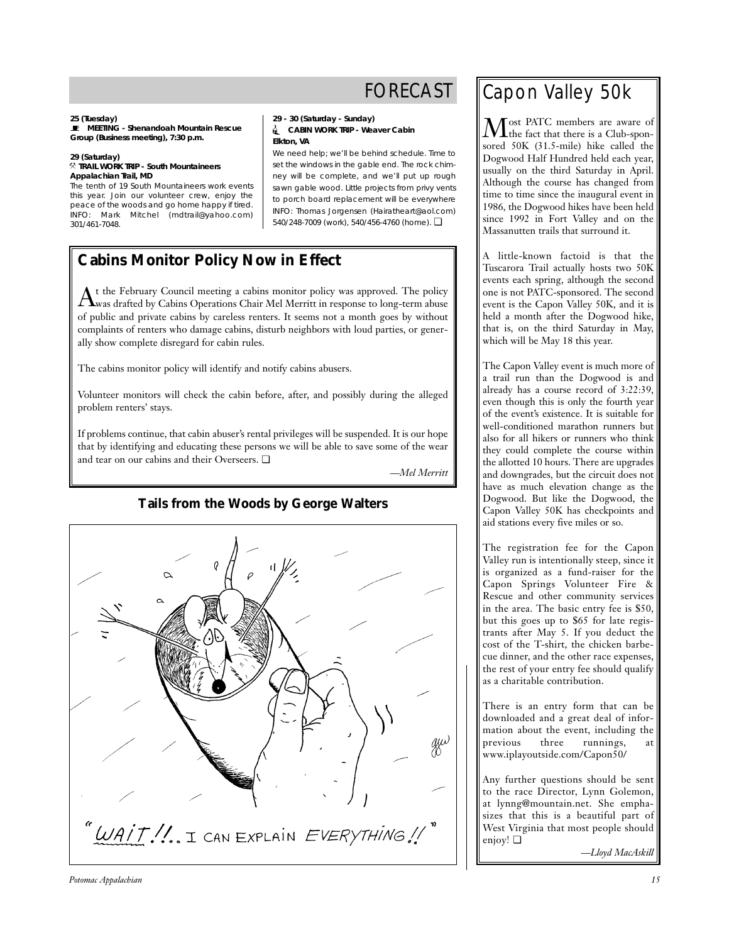**25 (Tuesday)** \ **MEETING - Shenandoah Mountain Rescue Group (Business meeting), 7:30 p.m.**

### **29 (Saturday)**

. **TRAIL WORK TRIP - South Mountaineers Appalachian Trail, MD**

The tenth of 19 South Mountaineers work events this year. Join our volunteer crew, enjoy the peace of the woods and go home happy if tired. INFO: Mark Mitchel (mdtrail@yahoo.com) 301/461-7048.

**29 - 30 (Saturday - Sunday)** i **CABIN WORK TRIP - Weaver Cabin Elkton, VA**

We need help; we'll be behind schedule. Time to set the windows in the gable end. The rock chimney will be complete, and we'll put up rough sawn gable wood. Little projects from privy vents to porch board replacement will be everywhere INFO: Thomas Jorgensen (Hairatheart@aol.com) 540/248-7009 (work), 540/456-4760 (home). ❏

## **Cabins Monitor Policy Now in Effect**

 $A$ <sup>t</sup> the February Council meeting a cabins monitor policy was approved. The policy was drafted by Cabins Operations Chair Mel Merritt in response to long-term abuse of public and private cabins by careless renters. It seems not a month goes by without complaints of renters who damage cabins, disturb neighbors with loud parties, or generally show complete disregard for cabin rules.

The cabins monitor policy will identify and notify cabins abusers.

Volunteer monitors will check the cabin before, after, and possibly during the alleged problem renters' stays.

If problems continue, that cabin abuser's rental privileges will be suspended. It is our hope that by identifying and educating these persons we will be able to save some of the wear and tear on our cabins and their Overseers. ❏

*—Mel Merritt*



## **Tails from the Woods by George Walters**

Capon Valley 50k

 $M_{\text{the fact that there is a Club-spon-}$ sored 50K (31.5-mile) hike called the Dogwood Half Hundred held each year, usually on the third Saturday in April. Although the course has changed from time to time since the inaugural event in 1986, the Dogwood hikes have been held since 1992 in Fort Valley and on the Massanutten trails that surround it.

A little-known factoid is that the Tuscarora Trail actually hosts two 50K events each spring, although the second one is not PATC-sponsored. The second event is the Capon Valley 50K, and it is held a month after the Dogwood hike, that is, on the third Saturday in May, which will be May 18 this year.

The Capon Valley event is much more of a trail run than the Dogwood is and already has a course record of 3:22:39, even though this is only the fourth year of the event's existence. It is suitable for well-conditioned marathon runners but also for all hikers or runners who think they could complete the course within the allotted 10 hours. There are upgrades and downgrades, but the circuit does not have as much elevation change as the Dogwood. But like the Dogwood, the Capon Valley 50K has checkpoints and aid stations every five miles or so.

The registration fee for the Capon Valley run is intentionally steep, since it is organized as a fund-raiser for the Capon Springs Volunteer Fire & Rescue and other community services in the area. The basic entry fee is \$50, but this goes up to \$65 for late registrants after May 5. If you deduct the cost of the T-shirt, the chicken barbecue dinner, and the other race expenses, the rest of your entry fee should qualify as a charitable contribution.

There is an entry form that can be downloaded and a great deal of information about the event, including the<br>previous three runnings, at three runnings, at www.iplayoutside.com/Capon50/

Any further questions should be sent to the race Director, Lynn Golemon, at lynng@mountain.net. She emphasizes that this is a beautiful part of West Virginia that most people should enjoy! ❏

*—Lloyd MacAskill*

*Potomac Appalachian 15*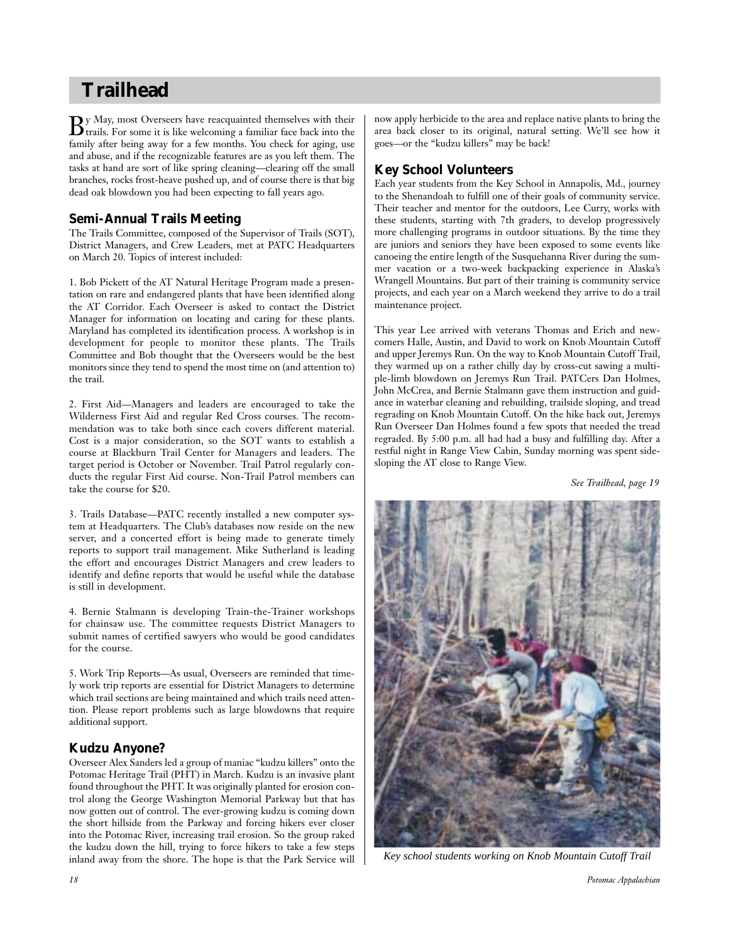## **Trailhead**

 $\mathbf{B}$ y May, most Overseers have reacquainted themselves with their trails. For some it is like welcoming a familiar face back into the family after being away for a few months. You check for aging, use and abuse, and if the recognizable features are as you left them. The tasks at hand are sort of like spring cleaning—clearing off the small branches, rocks frost-heave pushed up, and of course there is that big dead oak blowdown you had been expecting to fall years ago.

## **Semi-Annual Trails Meeting**

The Trails Committee, composed of the Supervisor of Trails (SOT), District Managers, and Crew Leaders, met at PATC Headquarters on March 20. Topics of interest included:

1. Bob Pickett of the AT Natural Heritage Program made a presentation on rare and endangered plants that have been identified along the AT Corridor. Each Overseer is asked to contact the District Manager for information on locating and caring for these plants. Maryland has completed its identification process. A workshop is in development for people to monitor these plants. The Trails Committee and Bob thought that the Overseers would be the best monitors since they tend to spend the most time on (and attention to) the trail.

2. First Aid—Managers and leaders are encouraged to take the Wilderness First Aid and regular Red Cross courses. The recommendation was to take both since each covers different material. Cost is a major consideration, so the SOT wants to establish a course at Blackburn Trail Center for Managers and leaders. The target period is October or November. Trail Patrol regularly conducts the regular First Aid course. Non-Trail Patrol members can take the course for \$20.

3. Trails Database—PATC recently installed a new computer system at Headquarters. The Club's databases now reside on the new server, and a concerted effort is being made to generate timely reports to support trail management. Mike Sutherland is leading the effort and encourages District Managers and crew leaders to identify and define reports that would be useful while the database is still in development.

4. Bernie Stalmann is developing Train-the-Trainer workshops for chainsaw use. The committee requests District Managers to submit names of certified sawyers who would be good candidates for the course.

5. Work Trip Reports—As usual, Overseers are reminded that timely work trip reports are essential for District Managers to determine which trail sections are being maintained and which trails need attention. Please report problems such as large blowdowns that require additional support.

## **Kudzu Anyone?**

Overseer Alex Sanders led a group of maniac "kudzu killers" onto the Potomac Heritage Trail (PHT) in March. Kudzu is an invasive plant found throughout the PHT. It was originally planted for erosion control along the George Washington Memorial Parkway but that has now gotten out of control. The ever-growing kudzu is coming down the short hillside from the Parkway and forcing hikers ever closer into the Potomac River, increasing trail erosion. So the group raked the kudzu down the hill, trying to force hikers to take a few steps inland away from the shore. The hope is that the Park Service will now apply herbicide to the area and replace native plants to bring the area back closer to its original, natural setting. We'll see how it goes—or the "kudzu killers" may be back!

## **Key School Volunteers**

Each year students from the Key School in Annapolis, Md., journey to the Shenandoah to fulfill one of their goals of community service. Their teacher and mentor for the outdoors, Lee Curry, works with these students, starting with 7th graders, to develop progressively more challenging programs in outdoor situations. By the time they are juniors and seniors they have been exposed to some events like canoeing the entire length of the Susquehanna River during the summer vacation or a two-week backpacking experience in Alaska's Wrangell Mountains. But part of their training is community service projects, and each year on a March weekend they arrive to do a trail maintenance project.

This year Lee arrived with veterans Thomas and Erich and newcomers Halle, Austin, and David to work on Knob Mountain Cutoff and upper Jeremys Run. On the way to Knob Mountain Cutoff Trail, they warmed up on a rather chilly day by cross-cut sawing a multiple-limb blowdown on Jeremys Run Trail. PATCers Dan Holmes, John McCrea, and Bernie Stalmann gave them instruction and guidance in waterbar cleaning and rebuilding, trailside sloping, and tread regrading on Knob Mountain Cutoff. On the hike back out, Jeremys Run Overseer Dan Holmes found a few spots that needed the tread regraded. By 5:00 p.m. all had had a busy and fulfilling day. After a restful night in Range View Cabin, Sunday morning was spent sidesloping the AT close to Range View.

*See Trailhead, page 19*



*Key school students working on Knob Mountain Cutoff Trail*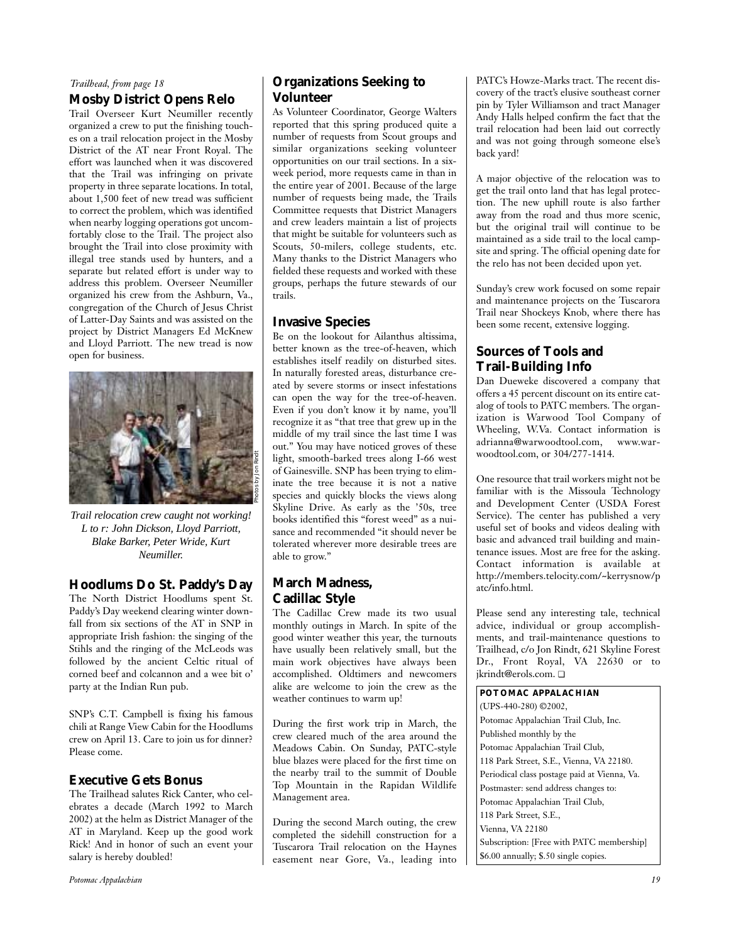### *Trailhead, from page 18*

## **Mosby District Opens Relo**

Trail Overseer Kurt Neumiller recently organized a crew to put the finishing touches on a trail relocation project in the Mosby District of the AT near Front Royal. The effort was launched when it was discovered that the Trail was infringing on private property in three separate locations. In total, about 1,500 feet of new tread was sufficient to correct the problem, which was identified when nearby logging operations got uncomfortably close to the Trail. The project also brought the Trail into close proximity with illegal tree stands used by hunters, and a separate but related effort is under way to address this problem. Overseer Neumiller organized his crew from the Ashburn, Va., congregation of the Church of Jesus Christ of Latter-Day Saints and was assisted on the project by District Managers Ed McKnew and Lloyd Parriott. The new tread is now open for business.



*Trail relocation crew caught not working! L to r: John Dickson, Lloyd Parriott, Blake Barker, Peter Wride, Kurt Neumiller.*

## **Hoodlums Do St. Paddy's Day**

The North District Hoodlums spent St. Paddy's Day weekend clearing winter downfall from six sections of the AT in SNP in appropriate Irish fashion: the singing of the Stihls and the ringing of the McLeods was followed by the ancient Celtic ritual of corned beef and colcannon and a wee bit o' party at the Indian Run pub.

SNP's C.T. Campbell is fixing his famous chili at Range View Cabin for the Hoodlums crew on April 13. Care to join us for dinner? Please come.

## **Executive Gets Bonus**

The Trailhead salutes Rick Canter, who celebrates a decade (March 1992 to March 2002) at the helm as District Manager of the AT in Maryland. Keep up the good work Rick! And in honor of such an event your salary is hereby doubled!

## **Organizations Seeking to Volunteer**

As Volunteer Coordinator, George Walters reported that this spring produced quite a number of requests from Scout groups and similar organizations seeking volunteer opportunities on our trail sections. In a sixweek period, more requests came in than in the entire year of 2001. Because of the large number of requests being made, the Trails Committee requests that District Managers and crew leaders maintain a list of projects that might be suitable for volunteers such as Scouts, 50-milers, college students, etc. Many thanks to the District Managers who fielded these requests and worked with these groups, perhaps the future stewards of our trails.

## **Invasive Species**

Be on the lookout for Ailanthus altissima, better known as the tree-of-heaven, which establishes itself readily on disturbed sites. In naturally forested areas, disturbance created by severe storms or insect infestations can open the way for the tree-of-heaven. Even if you don't know it by name, you'll recognize it as "that tree that grew up in the middle of my trail since the last time I was out." You may have noticed groves of these light, smooth-barked trees along I-66 west of Gainesville. SNP has been trying to eliminate the tree because it is not a native species and quickly blocks the views along Skyline Drive. As early as the '50s, tree books identified this "forest weed" as a nuisance and recommended "it should never be tolerated wherever more desirable trees are able to grow."

## **March Madness, Cadillac Style**

The Cadillac Crew made its two usual monthly outings in March. In spite of the good winter weather this year, the turnouts have usually been relatively small, but the main work objectives have always been accomplished. Oldtimers and newcomers alike are welcome to join the crew as the weather continues to warm up!

During the first work trip in March, the crew cleared much of the area around the Meadows Cabin. On Sunday, PATC-style blue blazes were placed for the first time on the nearby trail to the summit of Double Top Mountain in the Rapidan Wildlife Management area.

During the second March outing, the crew completed the sidehill construction for a Tuscarora Trail relocation on the Haynes easement near Gore, Va., leading into PATC's Howze-Marks tract. The recent discovery of the tract's elusive southeast corner pin by Tyler Williamson and tract Manager Andy Halls helped confirm the fact that the trail relocation had been laid out correctly and was not going through someone else's back yard!

A major objective of the relocation was to get the trail onto land that has legal protection. The new uphill route is also farther away from the road and thus more scenic, but the original trail will continue to be maintained as a side trail to the local campsite and spring. The official opening date for the relo has not been decided upon yet.

Sunday's crew work focused on some repair and maintenance projects on the Tuscarora Trail near Shockeys Knob, where there has been some recent, extensive logging.

## **Sources of Tools and Trail-Building Info**

Dan Dueweke discovered a company that offers a 45 percent discount on its entire catalog of tools to PATC members. The organization is Warwood Tool Company of Wheeling, W.Va. Contact information is adrianna@warwoodtool.com, www.warwoodtool.com, or 304/277-1414.

One resource that trail workers might not be familiar with is the Missoula Technology and Development Center (USDA Forest Service). The center has published a very useful set of books and videos dealing with basic and advanced trail building and maintenance issues. Most are free for the asking. Contact information is available at http://members.telocity.com/~kerrysnow/p atc/info.html.

Please send any interesting tale, technical advice, individual or group accomplishments, and trail-maintenance questions to Trailhead, c/o Jon Rindt, 621 Skyline Forest Dr., Front Royal, VA 22630 or to jkrindt@erols.com. ❏

**POTOMAC APPALACHIAN** (UPS-440-280) ©2002, Potomac Appalachian Trail Club, Inc. Published monthly by the Potomac Appalachian Trail Club, 118 Park Street, S.E., Vienna, VA 22180. Periodical class postage paid at Vienna, Va. Postmaster: send address changes to: Potomac Appalachian Trail Club, 118 Park Street, S.E., Vienna, VA 22180 Subscription: [Free with PATC membership] \$6.00 annually; \$.50 single copies.